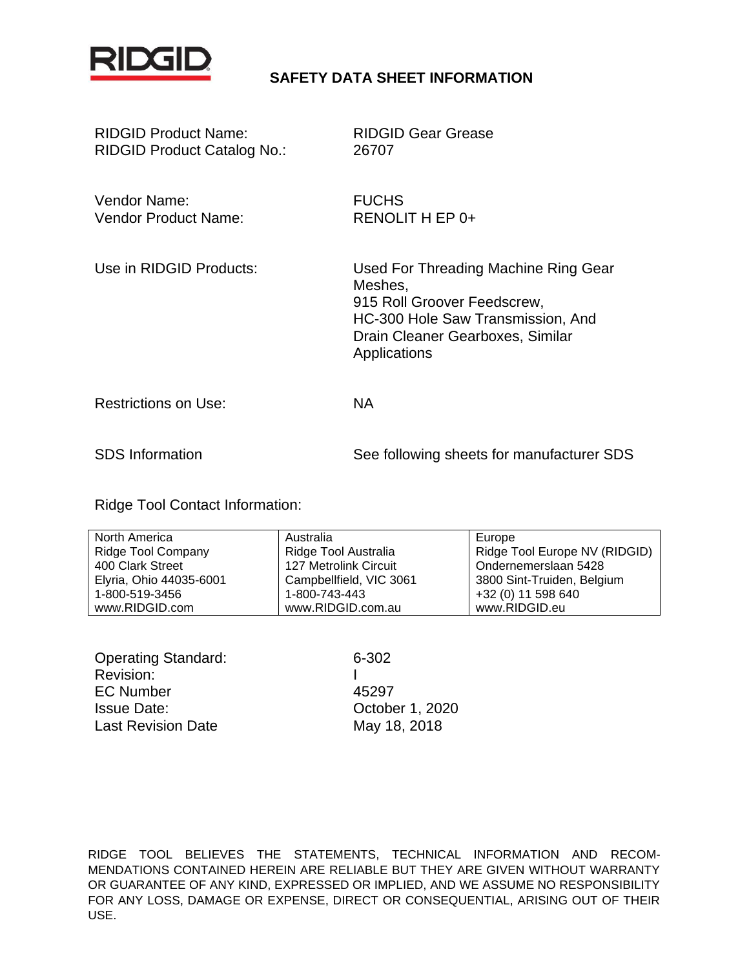

# **SAFETY DATA SHEET INFORMATION**

| <b>RIDGID Product Name:</b><br><b>RIDGID Product Catalog No.:</b> | <b>RIDGID Gear Grease</b><br>26707                                                                                                                                      |
|-------------------------------------------------------------------|-------------------------------------------------------------------------------------------------------------------------------------------------------------------------|
| Vendor Name:<br><b>Vendor Product Name:</b>                       | <b>FUCHS</b><br>RENOLIT H EP 0+                                                                                                                                         |
| Use in RIDGID Products:                                           | Used For Threading Machine Ring Gear<br>Meshes,<br>915 Roll Groover Feedscrew,<br>HC-300 Hole Saw Transmission, And<br>Drain Cleaner Gearboxes, Similar<br>Applications |
| <b>Restrictions on Use:</b>                                       | <b>NA</b>                                                                                                                                                               |
| <b>SDS</b> Information                                            | See following sheets for manufacturer SDS                                                                                                                               |

Ridge Tool Contact Information:

| North America             | Australia               | Europe                        |
|---------------------------|-------------------------|-------------------------------|
| <b>Ridge Tool Company</b> | Ridge Tool Australia    | Ridge Tool Europe NV (RIDGID) |
| 400 Clark Street          | 127 Metrolink Circuit   | Ondernemerslaan 5428          |
| Elyria, Ohio 44035-6001   | Campbellfield, VIC 3061 | 3800 Sint-Truiden, Belgium    |
| 1-800-519-3456            | 1-800-743-443           | +32 (0) 11 598 640            |
| www.RIDGID.com            | www.RIDGID.com.au       | www.RIDGID.eu                 |

| <b>Operating Standard:</b> |  |
|----------------------------|--|
| Revision:                  |  |
| <b>EC Number</b>           |  |
| <b>Issue Date:</b>         |  |
| <b>Last Revision Date</b>  |  |

6-302 A5297 October 1, 2020 May 18, 2018

RIDGE TOOL BELIEVES THE STATEMENTS, TECHNICAL INFORMATION AND RECOM-MENDATIONS CONTAINED HEREIN ARE RELIABLE BUT THEY ARE GIVEN WITHOUT WARRANTY OR GUARANTEE OF ANY KIND, EXPRESSED OR IMPLIED, AND WE ASSUME NO RESPONSIBILITY FOR ANY LOSS, DAMAGE OR EXPENSE, DIRECT OR CONSEQUENTIAL, ARISING OUT OF THEIR USE.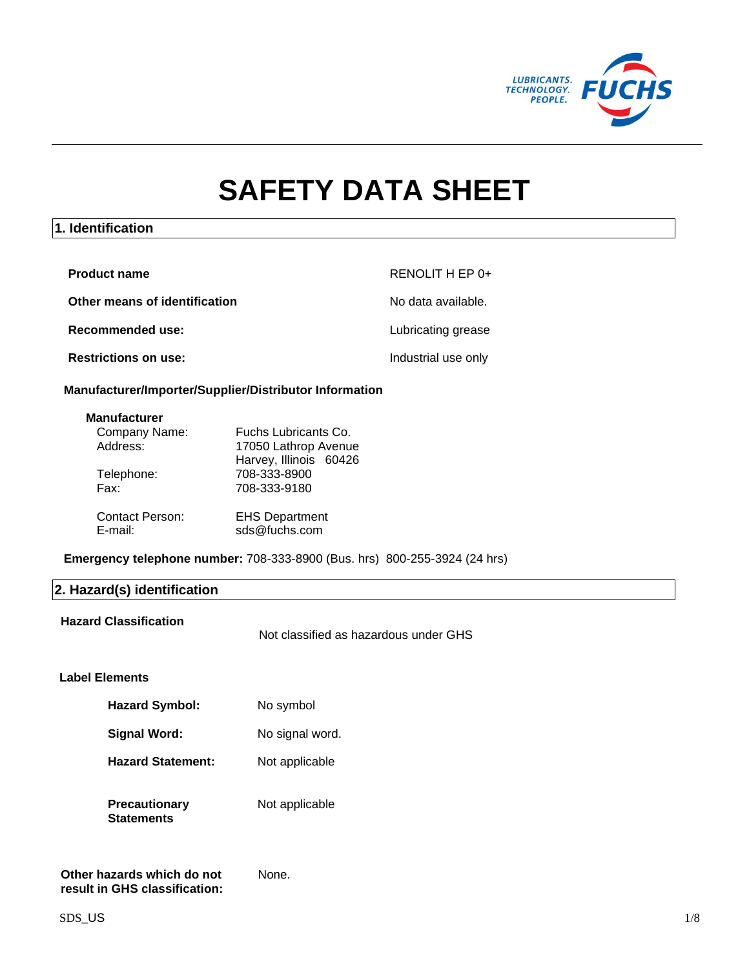

# **SAFETY DATA SHEET**

# **1. Identification**

| <b>Product name</b>           | RENOLIT H EP 0+     |
|-------------------------------|---------------------|
| Other means of identification | No data available.  |
| Recommended use:              | Lubricating grease  |
| <b>Restrictions on use:</b>   | Industrial use only |

## **Manufacturer/Importer/Supplier/Distributor Information**

#### **Manufacturer**

| Company Name:                     | Fuchs Lubricants Co.                   |
|-----------------------------------|----------------------------------------|
| Address:                          | 17050 Lathrop Avenue                   |
|                                   | Harvey, Illinois 60426                 |
| Telephone:                        | 708-333-8900                           |
| Fax:                              | 708-333-9180                           |
|                                   |                                        |
| <b>Contact Person:</b><br>E-mail: | <b>EHS Department</b><br>sds@fuchs.com |

**Emergency telephone number:** 708-333-8900 (Bus. hrs) 800-255-3924 (24 hrs)

# **2. Hazard(s) identification**

**Hazard Classification**

Not classified as hazardous under GHS

# **Label Elements**

| <b>Hazard Symbol:</b>              | No symbol       |
|------------------------------------|-----------------|
| Signal Word:                       | No signal word. |
| <b>Hazard Statement:</b>           | Not applicable  |
| <b>Precautionary</b><br>Statements | Not applicable  |

None.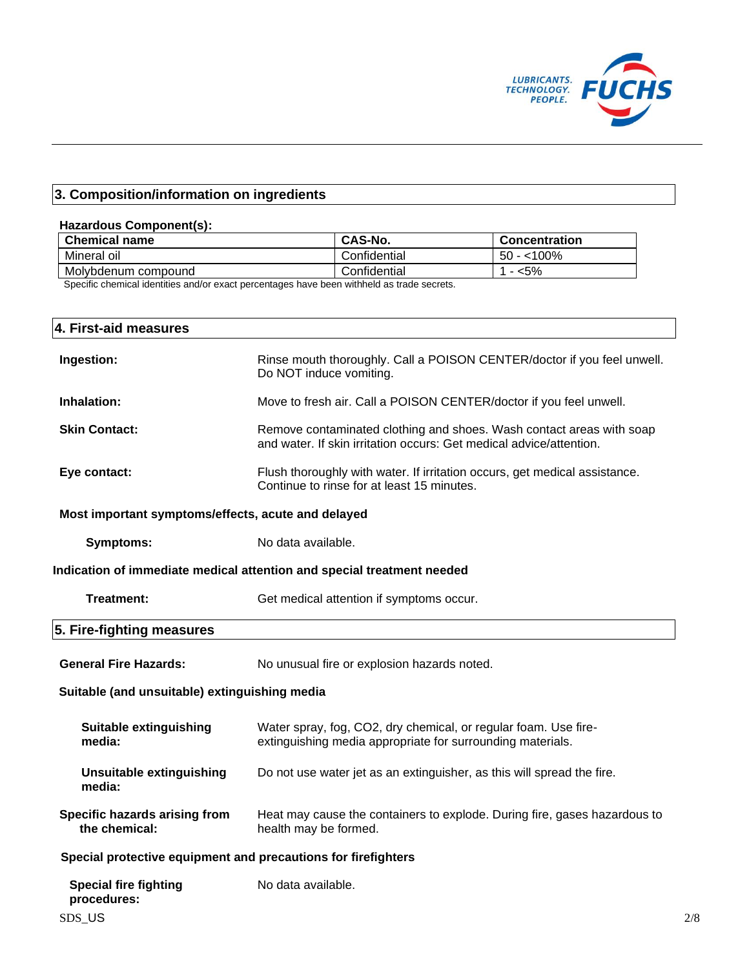

# **3. Composition/information on ingredients**

## **Hazardous Component(s):**

| <b>Chemical name</b> | CAS-No.       | Concentration |
|----------------------|---------------|---------------|
| Mineral oil          | Confidential  | $100\%$<br>50 |
| Molybdenum compound  | .Confidential | $5\%$         |

Specific chemical identities and/or exact percentages have been withheld as trade secrets.

| 4. First-aid measures                                         |                                                                                                                                             |  |
|---------------------------------------------------------------|---------------------------------------------------------------------------------------------------------------------------------------------|--|
| Ingestion:                                                    | Rinse mouth thoroughly. Call a POISON CENTER/doctor if you feel unwell.<br>Do NOT induce vomiting.                                          |  |
| Inhalation:                                                   | Move to fresh air. Call a POISON CENTER/doctor if you feel unwell.                                                                          |  |
| <b>Skin Contact:</b>                                          | Remove contaminated clothing and shoes. Wash contact areas with soap<br>and water. If skin irritation occurs: Get medical advice/attention. |  |
| Eye contact:                                                  | Flush thoroughly with water. If irritation occurs, get medical assistance.<br>Continue to rinse for at least 15 minutes.                    |  |
| Most important symptoms/effects, acute and delayed            |                                                                                                                                             |  |
| <b>Symptoms:</b>                                              | No data available.                                                                                                                          |  |
|                                                               | Indication of immediate medical attention and special treatment needed                                                                      |  |
| <b>Treatment:</b>                                             | Get medical attention if symptoms occur.                                                                                                    |  |
| 5. Fire-fighting measures                                     |                                                                                                                                             |  |
| <b>General Fire Hazards:</b>                                  | No unusual fire or explosion hazards noted.                                                                                                 |  |
| Suitable (and unsuitable) extinguishing media                 |                                                                                                                                             |  |
| <b>Suitable extinguishing</b><br>media:                       | Water spray, fog, CO2, dry chemical, or regular foam. Use fire-<br>extinguishing media appropriate for surrounding materials.               |  |
| <b>Unsuitable extinguishing</b><br>media:                     | Do not use water jet as an extinguisher, as this will spread the fire.                                                                      |  |
| Specific hazards arising from<br>the chemical:                | Heat may cause the containers to explode. During fire, gases hazardous to<br>health may be formed.                                          |  |
| Special protective equipment and precautions for firefighters |                                                                                                                                             |  |
| <b>Special fire fighting</b><br>procedures:                   | No data available.                                                                                                                          |  |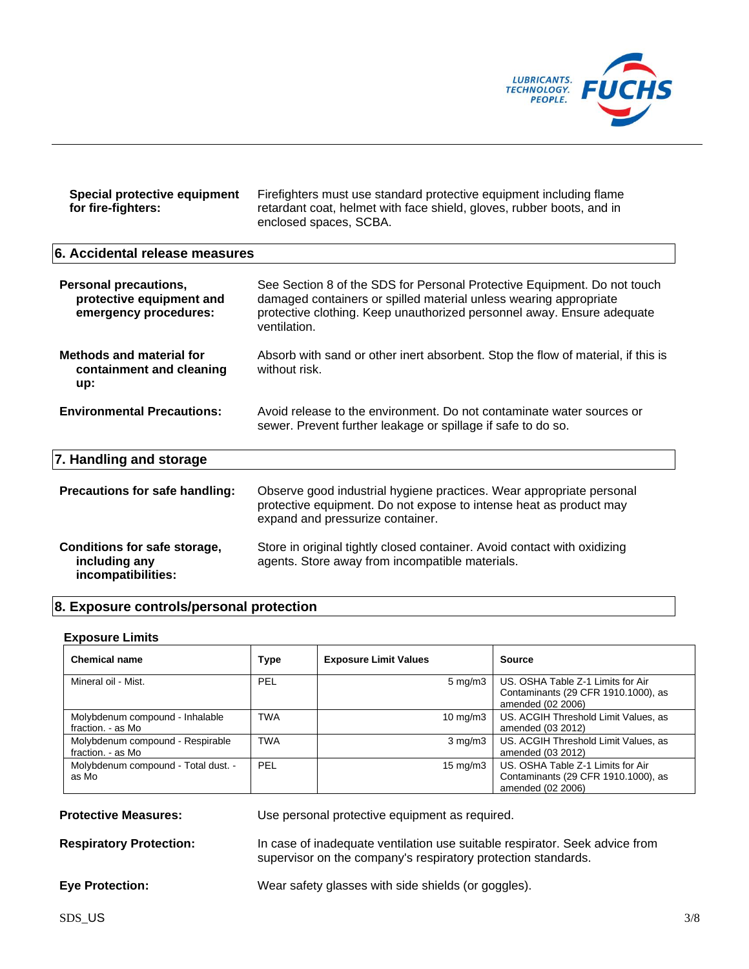

| Special protective equipment<br>for fire-fighters:                                | Firefighters must use standard protective equipment including flame<br>retardant coat, helmet with face shield, gloves, rubber boots, and in<br>enclosed spaces, SCBA.                                                                  |
|-----------------------------------------------------------------------------------|-----------------------------------------------------------------------------------------------------------------------------------------------------------------------------------------------------------------------------------------|
| 6. Accidental release measures                                                    |                                                                                                                                                                                                                                         |
| <b>Personal precautions,</b><br>protective equipment and<br>emergency procedures: | See Section 8 of the SDS for Personal Protective Equipment. Do not touch<br>damaged containers or spilled material unless wearing appropriate<br>protective clothing. Keep unauthorized personnel away. Ensure adequate<br>ventilation. |
| <b>Methods and material for</b><br>containment and cleaning<br>up:                | Absorb with sand or other inert absorbent. Stop the flow of material, if this is<br>without risk.                                                                                                                                       |
| <b>Environmental Precautions:</b>                                                 | Avoid release to the environment. Do not contaminate water sources or<br>sewer. Prevent further leakage or spillage if safe to do so.                                                                                                   |
| 7. Handling and storage                                                           |                                                                                                                                                                                                                                         |
| Precautions for safe handling:                                                    | Observe good industrial hygiene practices. Wear appropriate personal<br>protective equipment. Do not expose to intense heat as product may<br>expand and pressurize container.                                                          |
| Conditions for safe storage,<br>including any<br>incompatibilities:               | Store in original tightly closed container. Avoid contact with oxidizing<br>agents. Store away from incompatible materials.                                                                                                             |

# **8. Exposure controls/personal protection**

#### **Exposure Limits**

| <b>Chemical name</b>                                  | <b>Type</b> | <b>Exposure Limit Values</b> | <b>Source</b>                                                                                 |
|-------------------------------------------------------|-------------|------------------------------|-----------------------------------------------------------------------------------------------|
| Mineral oil - Mist.                                   | PEL         | $5 \text{ mg/m}$ 3           | US. OSHA Table Z-1 Limits for Air<br>Contaminants (29 CFR 1910.1000), as<br>amended (02 2006) |
| Molybdenum compound - Inhalable<br>fraction. - as Mo  | <b>TWA</b>  | $10 \text{ mg/m}$            | US. ACGIH Threshold Limit Values, as<br>amended (03 2012)                                     |
| Molybdenum compound - Respirable<br>fraction. - as Mo | <b>TWA</b>  | $3 \text{ mg/m}$             | US. ACGIH Threshold Limit Values, as<br>amended (03 2012)                                     |
| Molybdenum compound - Total dust. -<br>as Mo          | PEL         | $15 \text{ mg/m}$            | US. OSHA Table Z-1 Limits for Air<br>Contaminants (29 CFR 1910.1000), as<br>amended (02 2006) |

| <b>Protective Measures:</b> | Use personal protective equipment as required. |
|-----------------------------|------------------------------------------------|
|                             |                                                |

**Respiratory Protection:** In case of inadequate ventilation use suitable respirator. Seek advice from supervisor on the company's respiratory protection standards.

**Eye Protection:** Wear safety glasses with side shields (or goggles).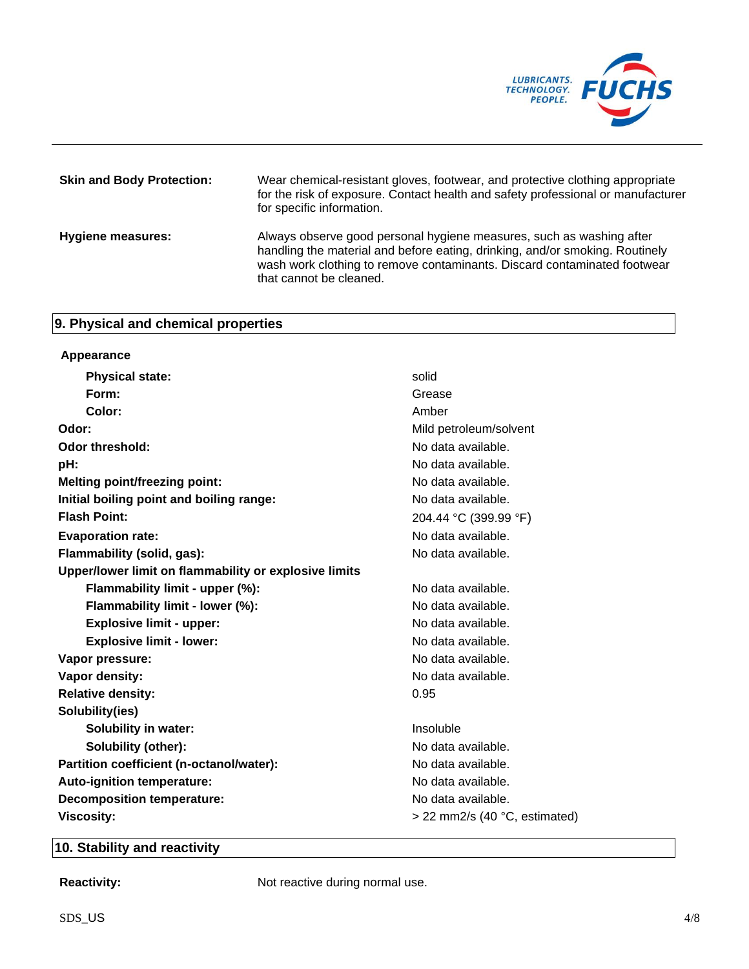

| <b>Skin and Body Protection:</b> | Wear chemical-resistant gloves, footwear, and protective clothing appropriate<br>for the risk of exposure. Contact health and safety professional or manufacturer<br>for specific information.                                                              |
|----------------------------------|-------------------------------------------------------------------------------------------------------------------------------------------------------------------------------------------------------------------------------------------------------------|
| <b>Hygiene measures:</b>         | Always observe good personal hygiene measures, such as washing after<br>handling the material and before eating, drinking, and/or smoking. Routinely<br>wash work clothing to remove contaminants. Discard contaminated footwear<br>that cannot be cleaned. |

# **9. Physical and chemical properties**

| Appearance                                            |                                 |
|-------------------------------------------------------|---------------------------------|
| <b>Physical state:</b>                                | solid                           |
| Form:                                                 | Grease                          |
| Color:                                                | Amber                           |
| Odor:                                                 | Mild petroleum/solvent          |
| Odor threshold:                                       | No data available.              |
| pH:                                                   | No data available.              |
| <b>Melting point/freezing point:</b>                  | No data available.              |
| Initial boiling point and boiling range:              | No data available.              |
| <b>Flash Point:</b>                                   | 204.44 °C (399.99 °F)           |
| <b>Evaporation rate:</b>                              | No data available.              |
| Flammability (solid, gas):                            | No data available.              |
| Upper/lower limit on flammability or explosive limits |                                 |
| Flammability limit - upper (%):                       | No data available.              |
| Flammability limit - lower (%):                       | No data available.              |
| <b>Explosive limit - upper:</b>                       | No data available.              |
| <b>Explosive limit - lower:</b>                       | No data available.              |
| Vapor pressure:                                       | No data available.              |
| Vapor density:                                        | No data available.              |
| <b>Relative density:</b>                              | 0.95                            |
| Solubility(ies)                                       |                                 |
| <b>Solubility in water:</b>                           | Insoluble                       |
| <b>Solubility (other):</b>                            | No data available.              |
| Partition coefficient (n-octanol/water):              | No data available.              |
| Auto-ignition temperature:                            | No data available.              |
| <b>Decomposition temperature:</b>                     | No data available.              |
| <b>Viscosity:</b>                                     | $>$ 22 mm2/s (40 °C, estimated) |

# **10. Stability and reactivity**

**Reactivity:** Not reactive during normal use.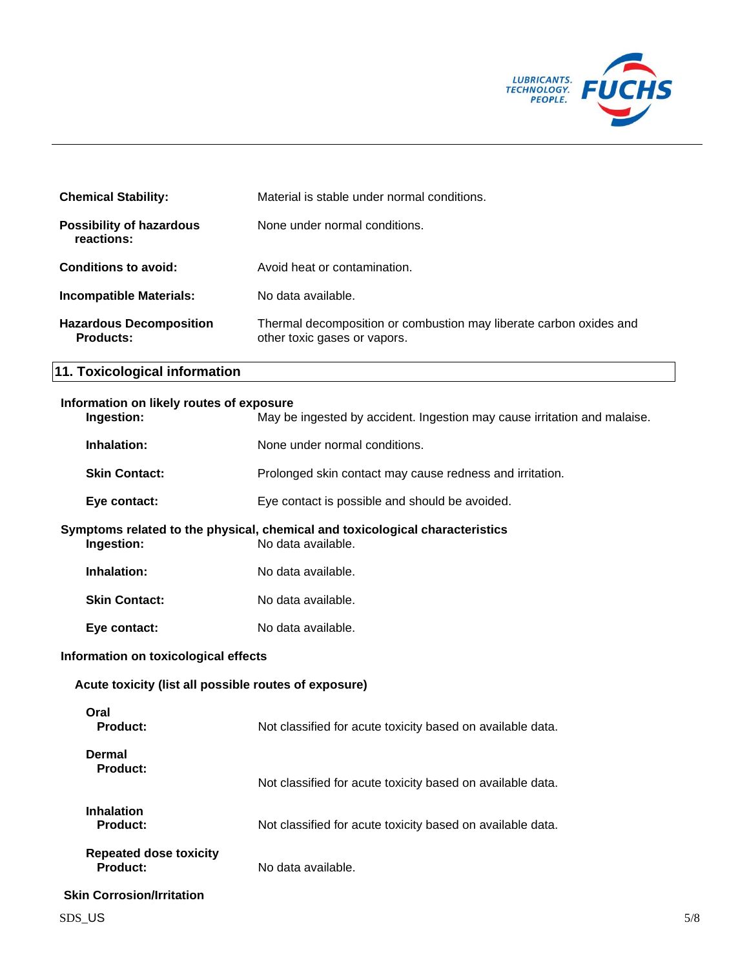

| <b>Chemical Stability:</b>                    | Material is stable under normal conditions.                                                        |
|-----------------------------------------------|----------------------------------------------------------------------------------------------------|
| <b>Possibility of hazardous</b><br>reactions: | None under normal conditions.                                                                      |
| Conditions to avoid:                          | Avoid heat or contamination.                                                                       |
| <b>Incompatible Materials:</b>                | No data available.                                                                                 |
| <b>Hazardous Decomposition</b><br>Products:   | Thermal decomposition or combustion may liberate carbon oxides and<br>other toxic gases or vapors. |

# **11. Toxicological information**

# **Information on likely routes of exposure**<br>**Ingestion:** May be

| Ingestion:                                            | May be ingested by accident. Ingestion may cause irritation and malaise.                           |
|-------------------------------------------------------|----------------------------------------------------------------------------------------------------|
| Inhalation:                                           | None under normal conditions.                                                                      |
| <b>Skin Contact:</b>                                  | Prolonged skin contact may cause redness and irritation.                                           |
| Eye contact:                                          | Eye contact is possible and should be avoided.                                                     |
| Ingestion:                                            | Symptoms related to the physical, chemical and toxicological characteristics<br>No data available. |
| Inhalation:                                           | No data available.                                                                                 |
| <b>Skin Contact:</b>                                  | No data available.                                                                                 |
| Eye contact:                                          | No data available.                                                                                 |
| Information on toxicological effects                  |                                                                                                    |
| Acute toxicity (list all possible routes of exposure) |                                                                                                    |
| Oral<br><b>Product:</b>                               | Not classified for acute toxicity based on available data.                                         |
| <b>Dermal</b><br><b>Product:</b>                      | Not classified for acute toxicity based on available data.                                         |
| <b>Inhalation</b><br><b>Product:</b>                  | Not classified for acute toxicity based on available data.                                         |
| <b>Repeated dose toxicity</b><br><b>Product:</b>      | No data available.                                                                                 |
| <b>Skin Corrosion/Irritation</b>                      |                                                                                                    |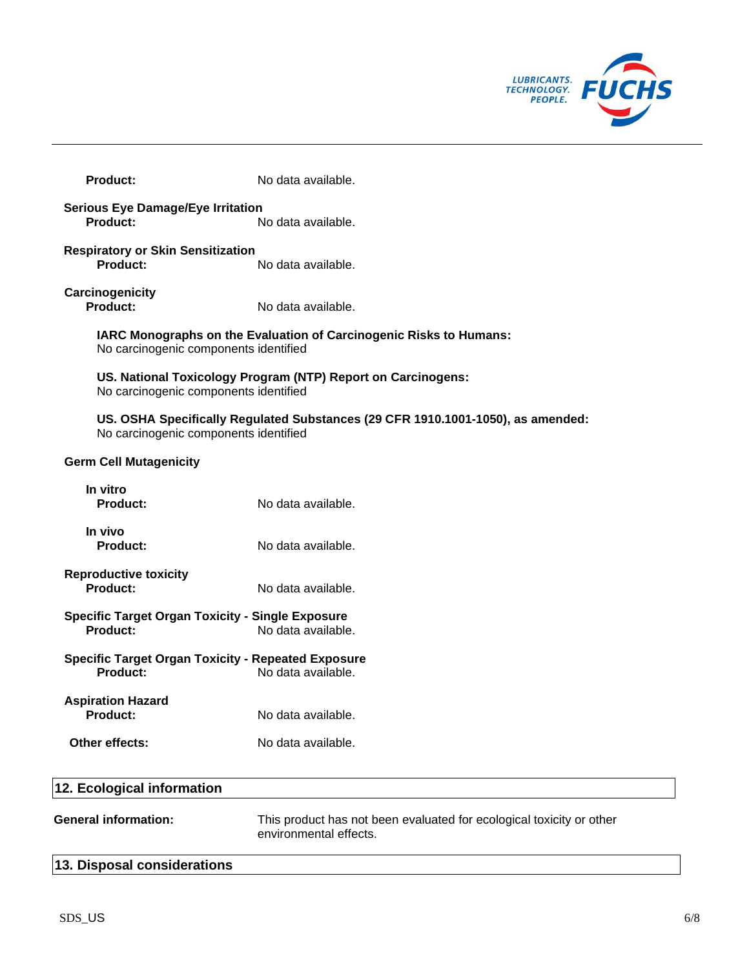

| <b>Product:</b>                                                              | No data available.                                                              |
|------------------------------------------------------------------------------|---------------------------------------------------------------------------------|
| <b>Serious Eye Damage/Eye Irritation</b><br>Product:                         | No data available.                                                              |
| <b>Respiratory or Skin Sensitization</b><br><b>Product:</b>                  | No data available.                                                              |
| Carcinogenicity<br>Product:                                                  | No data available.                                                              |
| No carcinogenic components identified                                        | IARC Monographs on the Evaluation of Carcinogenic Risks to Humans:              |
| No carcinogenic components identified                                        | US. National Toxicology Program (NTP) Report on Carcinogens:                    |
| No carcinogenic components identified                                        | US. OSHA Specifically Regulated Substances (29 CFR 1910.1001-1050), as amended: |
| <b>Germ Cell Mutagenicity</b>                                                |                                                                                 |
| In vitro<br>Product:                                                         | No data available.                                                              |
| In vivo<br><b>Product:</b>                                                   | No data available.                                                              |
| <b>Reproductive toxicity</b><br><b>Product:</b>                              | No data available.                                                              |
| <b>Specific Target Organ Toxicity - Single Exposure</b><br><b>Product:</b>   | No data available.                                                              |
| <b>Specific Target Organ Toxicity - Repeated Exposure</b><br><b>Product:</b> | No data available.                                                              |
| <b>Aspiration Hazard</b><br>Product:                                         | No data available.                                                              |
| Other effects:                                                               | No data available.                                                              |
|                                                                              |                                                                                 |

| 12. Ecological information  |                                                                                                |
|-----------------------------|------------------------------------------------------------------------------------------------|
| <b>General information:</b> | This product has not been evaluated for ecological toxicity or other<br>environmental effects. |
| 13. Disposal considerations |                                                                                                |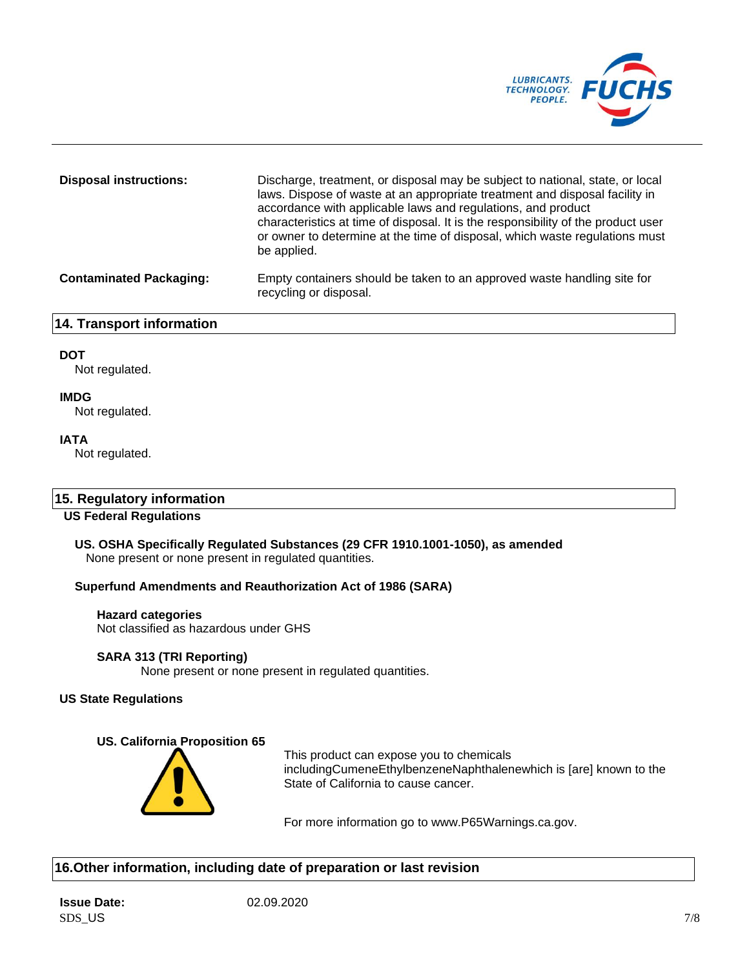

| <b>Disposal instructions:</b>  | Discharge, treatment, or disposal may be subject to national, state, or local<br>laws. Dispose of waste at an appropriate treatment and disposal facility in<br>accordance with applicable laws and regulations, and product<br>characteristics at time of disposal. It is the responsibility of the product user<br>or owner to determine at the time of disposal, which waste regulations must<br>be applied. |
|--------------------------------|-----------------------------------------------------------------------------------------------------------------------------------------------------------------------------------------------------------------------------------------------------------------------------------------------------------------------------------------------------------------------------------------------------------------|
| <b>Contaminated Packaging:</b> | Empty containers should be taken to an approved waste handling site for<br>recycling or disposal.                                                                                                                                                                                                                                                                                                               |

# **14. Transport information**

## **DOT**

Not regulated.

## **IMDG**

Not regulated.

## **IATA**

Not regulated.

# **15. Regulatory information**

# **US Federal Regulations**

**US. OSHA Specifically Regulated Substances (29 CFR 1910.1001-1050), as amended** None present or none present in regulated quantities.

## **Superfund Amendments and Reauthorization Act of 1986 (SARA)**

# **Hazard categories**

Not classified as hazardous under GHS

#### **SARA 313 (TRI Reporting)**

None present or none present in regulated quantities.

### **US State Regulations**

#### **US. California Proposition 65**



This product can expose you to chemicals includingCumeneEthylbenzeneNaphthalenewhich is [are] known to the State of California to cause cancer.

For more information go to www.P65Warnings.ca.gov.

# **16.Other information, including date of preparation or last revision**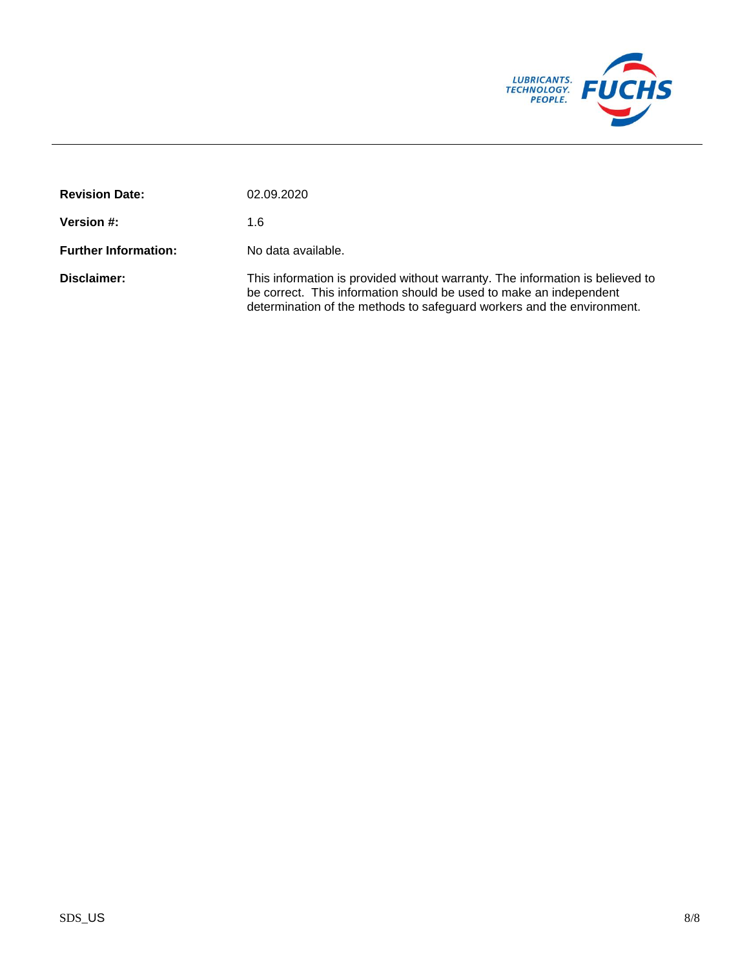

| <b>Revision Date:</b>       | 02.09.2020                                                                                                                                                                                                                    |
|-----------------------------|-------------------------------------------------------------------------------------------------------------------------------------------------------------------------------------------------------------------------------|
| <b>Version #:</b>           | 1.6                                                                                                                                                                                                                           |
| <b>Further Information:</b> | No data available.                                                                                                                                                                                                            |
| Disclaimer:                 | This information is provided without warranty. The information is believed to<br>be correct. This information should be used to make an independent<br>determination of the methods to safeguard workers and the environment. |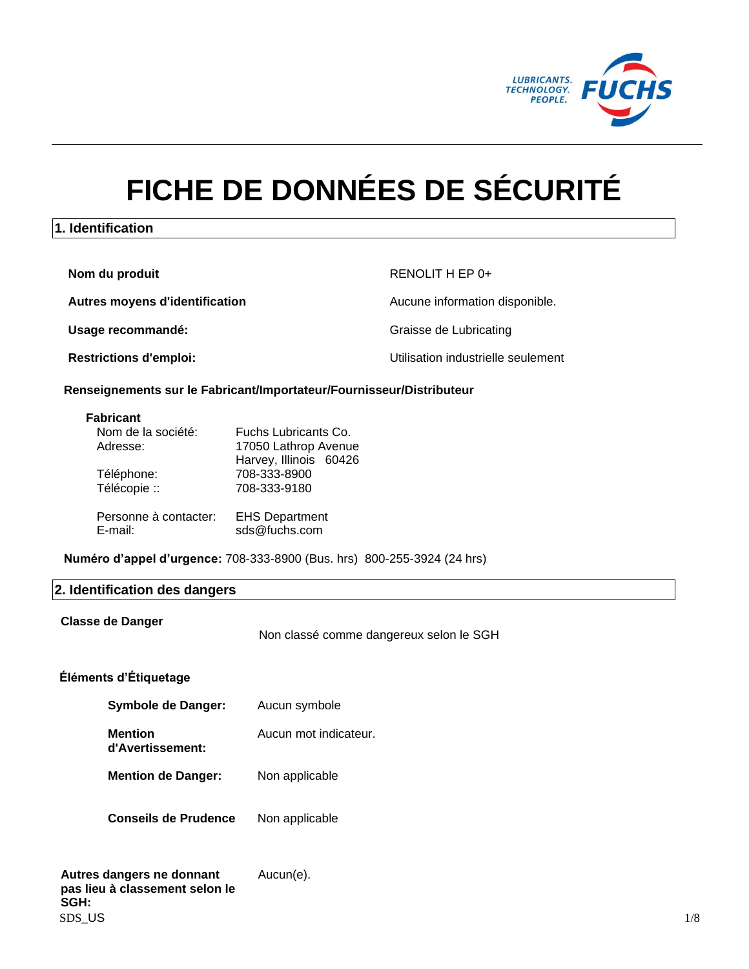

# **FICHE DE DONNÉES DE SÉCURITÉ**

# **1. Identification**

**Nom du produit** RENOLIT H EP 0+

**Autres moyens d'identification Aucune information disponible.** 

Usage recommandé: **Usage recommandé: Graisse de Lubricating** 

**Restrictions d'emploi:** Utilisation industrielle seulement

#### **Renseignements sur le Fabricant/Importateur/Fournisseur/Distributeur**

#### **Fabricant**

| Nom de la société:               | Fuchs Lubricants Co.                   |
|----------------------------------|----------------------------------------|
| Adresse:                         | 17050 Lathrop Avenue                   |
|                                  | Harvey, Illinois 60426                 |
| Téléphone:                       | 708-333-8900                           |
| Télécopie ::                     | 708-333-9180                           |
|                                  |                                        |
| Personne à contacter:<br>E-mail: | <b>EHS Department</b><br>sds@fuchs.com |

**Numéro d'appel d'urgence:** 708-333-8900 (Bus. hrs) 800-255-3924 (24 hrs)

#### **2. Identification des dangers**

#### **Classe de Danger**

Non classé comme dangereux selon le SGH

# **Éléments d'Étiquetage**

| Symbole de Danger:                 | Aucun symbole         |
|------------------------------------|-----------------------|
| <b>Mention</b><br>d'Avertissement: | Aucun mot indicateur. |
| <b>Mention de Danger:</b>          | Non applicable        |
| <b>Conseils de Prudence</b>        | Non applicable        |

#### $SDS\_US$   $1/8$ **Autres dangers ne donnant pas lieu à classement selon le SGH:** Aucun(e).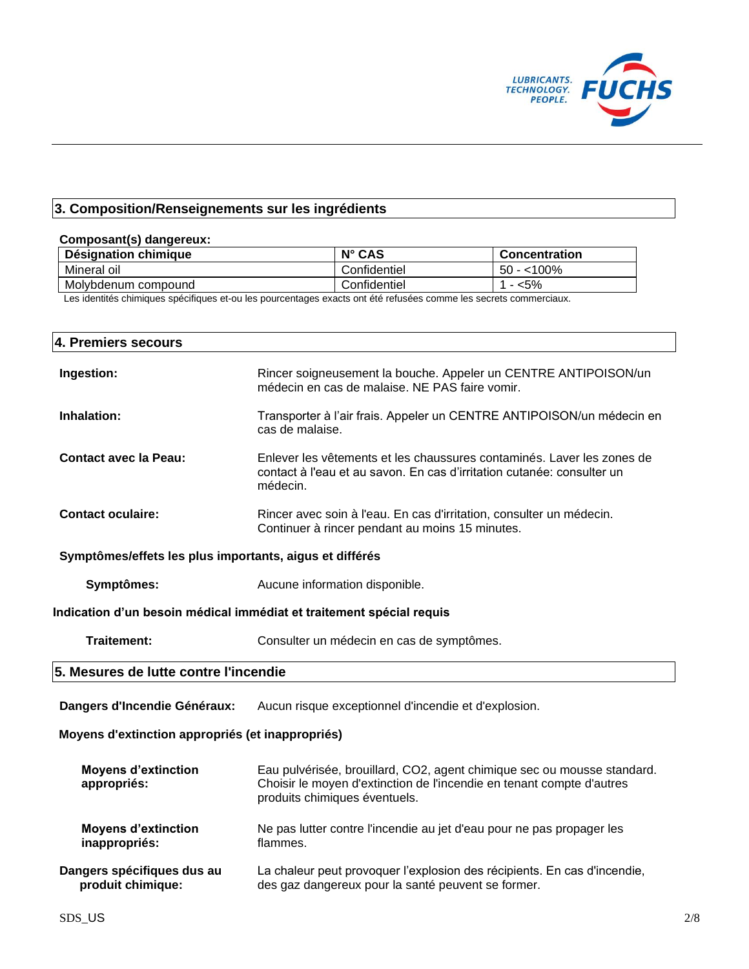

# **3. Composition/Renseignements sur les ingrédients**

| Composant(s) dangereux:                                 |                                                                                                                                                              |                                                                         |
|---------------------------------------------------------|--------------------------------------------------------------------------------------------------------------------------------------------------------------|-------------------------------------------------------------------------|
| Désignation chimique                                    | N° CAS                                                                                                                                                       | <b>Concentration</b>                                                    |
| Mineral oil                                             | Confidentiel                                                                                                                                                 | $\overline{50}$ - <100%                                                 |
| Molybdenum compound                                     | Confidentiel                                                                                                                                                 | $1 - 5%$                                                                |
|                                                         | Les identités chimiques spécifiques et-ou les pourcentages exacts ont été refusées comme les secrets commerciaux.                                            |                                                                         |
| 4. Premiers secours                                     |                                                                                                                                                              |                                                                         |
| Ingestion:                                              | Rincer soigneusement la bouche. Appeler un CENTRE ANTIPOISON/un<br>médecin en cas de malaise. NE PAS faire vomir.                                            |                                                                         |
| Inhalation:                                             | Transporter à l'air frais. Appeler un CENTRE ANTIPOISON/un médecin en<br>cas de malaise.                                                                     |                                                                         |
| <b>Contact avec la Peau:</b>                            | Enlever les vêtements et les chaussures contaminés. Laver les zones de<br>contact à l'eau et au savon. En cas d'irritation cutanée: consulter un<br>médecin. |                                                                         |
| <b>Contact oculaire:</b>                                | Rincer avec soin à l'eau. En cas d'irritation, consulter un médecin.<br>Continuer à rincer pendant au moins 15 minutes.                                      |                                                                         |
| Symptômes/effets les plus importants, aigus et différés |                                                                                                                                                              |                                                                         |
| Symptômes:                                              | Aucune information disponible.                                                                                                                               |                                                                         |
|                                                         | Indication d'un besoin médical immédiat et traitement spécial requis                                                                                         |                                                                         |
| Traitement:                                             | Consulter un médecin en cas de symptômes.                                                                                                                    |                                                                         |
| 5. Mesures de lutte contre l'incendie                   |                                                                                                                                                              |                                                                         |
| Dangers d'Incendie Généraux:                            | Aucun risque exceptionnel d'incendie et d'explosion.                                                                                                         |                                                                         |
| Moyens d'extinction appropriés (et inappropriés)        |                                                                                                                                                              |                                                                         |
| <b>Moyens d'extinction</b><br>appropriés:               | Choisir le moyen d'extinction de l'incendie en tenant compte d'autres<br>produits chimiques éventuels.                                                       | Eau pulvérisée, brouillard, CO2, agent chimique sec ou mousse standard. |
| <b>Moyens d'extinction</b><br>inappropriés:             | Ne pas lutter contre l'incendie au jet d'eau pour ne pas propager les<br>flammes.                                                                            |                                                                         |
| Dangers spécifiques dus au<br>produit chimique:         | La chaleur peut provoquer l'explosion des récipients. En cas d'incendie,<br>des gaz dangereux pour la santé peuvent se former.                               |                                                                         |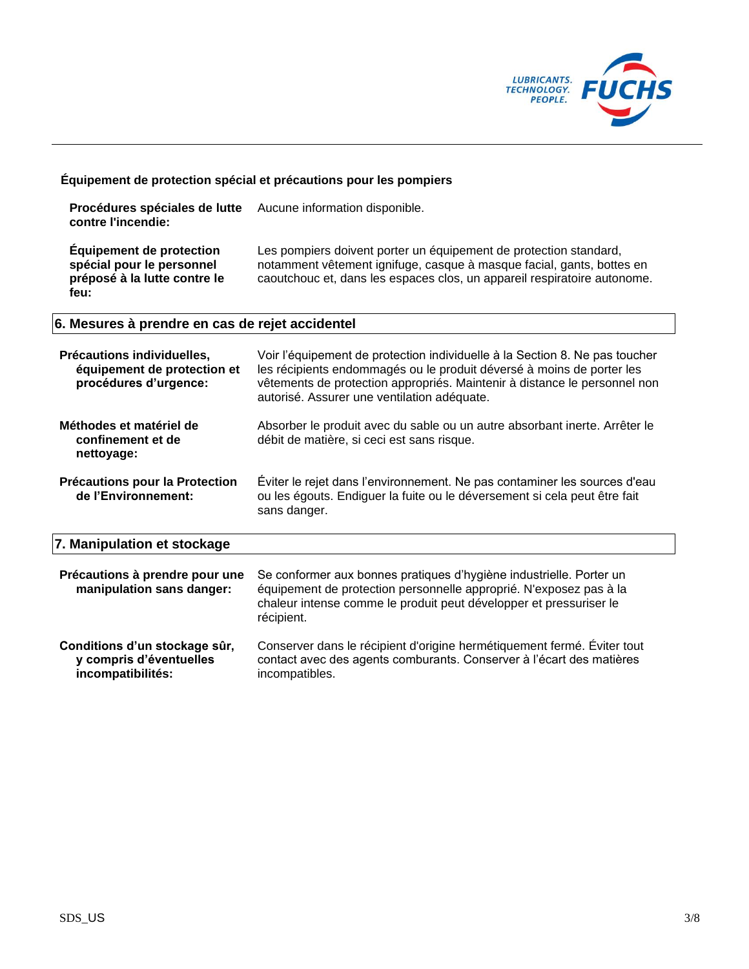

# **Équipement de protection spécial et précautions pour les pompiers**

| Procédures spéciales de lutte<br>contre l'incendie:                                                  | Aucune information disponible.                                                                                                                                                                                         |
|------------------------------------------------------------------------------------------------------|------------------------------------------------------------------------------------------------------------------------------------------------------------------------------------------------------------------------|
| <b>Equipement de protection</b><br>spécial pour le personnel<br>préposé à la lutte contre le<br>feu: | Les pompiers doivent porter un équipement de protection standard,<br>notamment vêtement ignifuge, casque à masque facial, gants, bottes en<br>caoutchouc et, dans les espaces clos, un appareil respiratoire autonome. |

# **6. Mesures à prendre en cas de rejet accidentel**

| Précautions individuelles,<br>équipement de protection et<br>procédures d'urgence: | Voir l'équipement de protection individuelle à la Section 8. Ne pas toucher<br>les récipients endommagés ou le produit déversé à moins de porter les<br>vêtements de protection appropriés. Maintenir à distance le personnel non<br>autorisé. Assurer une ventilation adéquate. |
|------------------------------------------------------------------------------------|----------------------------------------------------------------------------------------------------------------------------------------------------------------------------------------------------------------------------------------------------------------------------------|
| Méthodes et matériel de<br>confinement et de<br>nettoyage:                         | Absorber le produit avec du sable ou un autre absorbant inerte. Arrêter le<br>débit de matière, si ceci est sans risque.                                                                                                                                                         |
| Précautions pour la Protection<br>de l'Environnement:                              | Éviter le rejet dans l'environnement. Ne pas contaminer les sources d'eau<br>ou les égouts. Endiguer la fuite ou le déversement si cela peut être fait<br>sans danger.                                                                                                           |
| 7. Manipulation et stockage                                                        |                                                                                                                                                                                                                                                                                  |
| Précautions à prendre pour une<br>manipulation sans danger:                        | Se conformer aux bonnes pratiques d'hygiène industrielle. Porter un<br>équipement de protection personnelle approprié. N'exposez pas à la<br>chaleur intense comme le produit peut développer et pressuriser le<br>récipient.                                                    |
| Conditions d'un stockage sûr,<br>y compris d'éventuelles<br>incompatibilités:      | Conserver dans le récipient d'origine hermétiquement fermé. Eviter tout<br>contact avec des agents comburants. Conserver à l'écart des matières<br>incompatibles.                                                                                                                |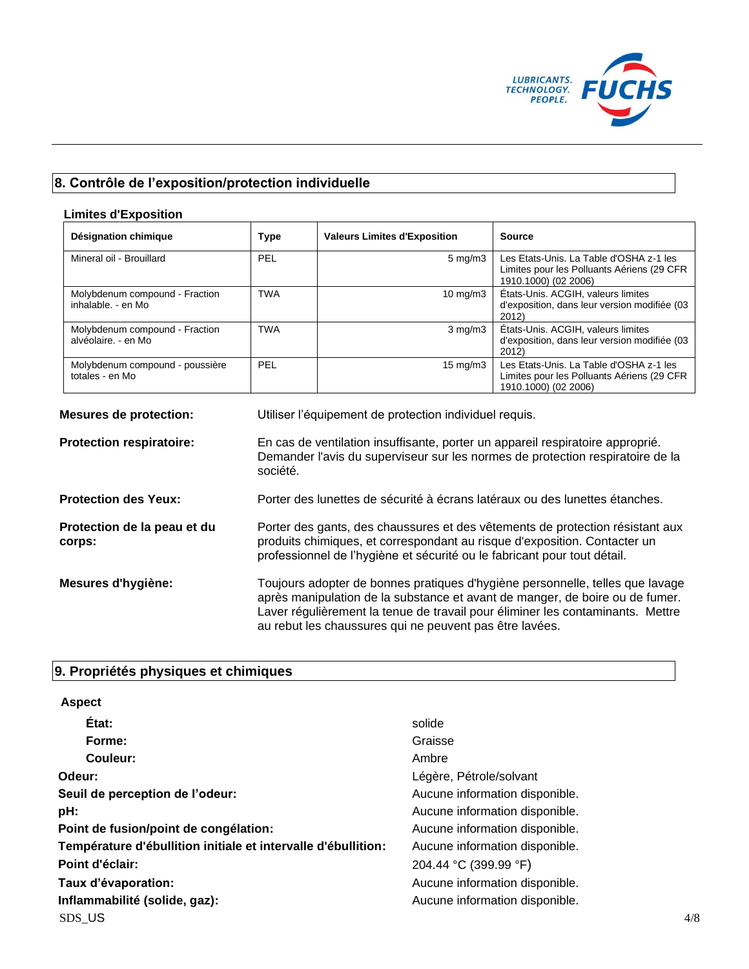

# **8. Contrôle de l'exposition/protection individuelle**

| <b>Limites d'Exposition</b>                           |                                                                                                                                                                                                                                                                                                            |                                                                             |                                                                                                               |
|-------------------------------------------------------|------------------------------------------------------------------------------------------------------------------------------------------------------------------------------------------------------------------------------------------------------------------------------------------------------------|-----------------------------------------------------------------------------|---------------------------------------------------------------------------------------------------------------|
| Désignation chimique                                  | <b>Type</b>                                                                                                                                                                                                                                                                                                | <b>Valeurs Limites d'Exposition</b>                                         | <b>Source</b>                                                                                                 |
| Mineral oil - Brouillard                              | PEL                                                                                                                                                                                                                                                                                                        | $5 \text{ mg/m}$ 3                                                          | Les Etats-Unis. La Table d'OSHA z-1 les<br>Limites pour les Polluants Aériens (29 CFR<br>1910.1000) (02 2006) |
| Molybdenum compound - Fraction<br>inhalable. - en Mo  | <b>TWA</b>                                                                                                                                                                                                                                                                                                 | 10 mg/m3                                                                    | États-Unis. ACGIH, valeurs limites<br>d'exposition, dans leur version modifiée (03<br>2012)                   |
| Molybdenum compound - Fraction<br>alvéolaire. - en Mo | <b>TWA</b>                                                                                                                                                                                                                                                                                                 | $3$ mg/m $3$                                                                | États-Unis. ACGIH, valeurs limites<br>d'exposition, dans leur version modifiée (03<br>2012                    |
| Molybdenum compound - poussière<br>totales - en Mo    | PEL                                                                                                                                                                                                                                                                                                        | 15 mg/m3                                                                    | Les Etats-Unis. La Table d'OSHA z-1 les<br>Limites pour les Polluants Aériens (29 CFR<br>1910.1000) (02 2006) |
| <b>Mesures de protection:</b>                         |                                                                                                                                                                                                                                                                                                            | Utiliser l'équipement de protection individuel requis.                      |                                                                                                               |
| Protection respiratoire:                              | En cas de ventilation insuffisante, porter un appareil respiratoire approprié.<br>Demander l'avis du superviseur sur les normes de protection respiratoire de la<br>société.                                                                                                                               |                                                                             |                                                                                                               |
| <b>Protection des Yeux:</b>                           |                                                                                                                                                                                                                                                                                                            | Porter des lunettes de sécurité à écrans latéraux ou des lunettes étanches. |                                                                                                               |
| Protection de la peau et du<br>corps:                 | Porter des gants, des chaussures et des vêtements de protection résistant aux<br>produits chimiques, et correspondant au risque d'exposition. Contacter un<br>professionnel de l'hygiène et sécurité ou le fabricant pour tout détail.                                                                     |                                                                             |                                                                                                               |
| Mesures d'hygiène:                                    | Toujours adopter de bonnes pratiques d'hygiène personnelle, telles que lavage<br>après manipulation de la substance et avant de manger, de boire ou de fumer.<br>Laver régulièrement la tenue de travail pour éliminer les contaminants. Mettre<br>au rebut les chaussures qui ne peuvent pas être lavées. |                                                                             |                                                                                                               |

# **9. Propriétés physiques et chimiques**

| <b>Aspect</b>                                                 |                                |     |
|---------------------------------------------------------------|--------------------------------|-----|
| État:                                                         | solide                         |     |
| Forme:                                                        | Graisse                        |     |
| Couleur:                                                      | Ambre                          |     |
| Odeur:                                                        | Légère, Pétrole/solvant        |     |
| Seuil de perception de l'odeur:                               | Aucune information disponible. |     |
| pH:                                                           | Aucune information disponible. |     |
| Point de fusion/point de congélation:                         | Aucune information disponible. |     |
| Température d'ébullition initiale et intervalle d'ébullition: | Aucune information disponible. |     |
| Point d'éclair:                                               | 204.44 °C (399.99 °F)          |     |
| Taux d'évaporation:                                           | Aucune information disponible. |     |
| Inflammabilité (solide, gaz):                                 | Aucune information disponible. |     |
| SDS US                                                        |                                | 4/8 |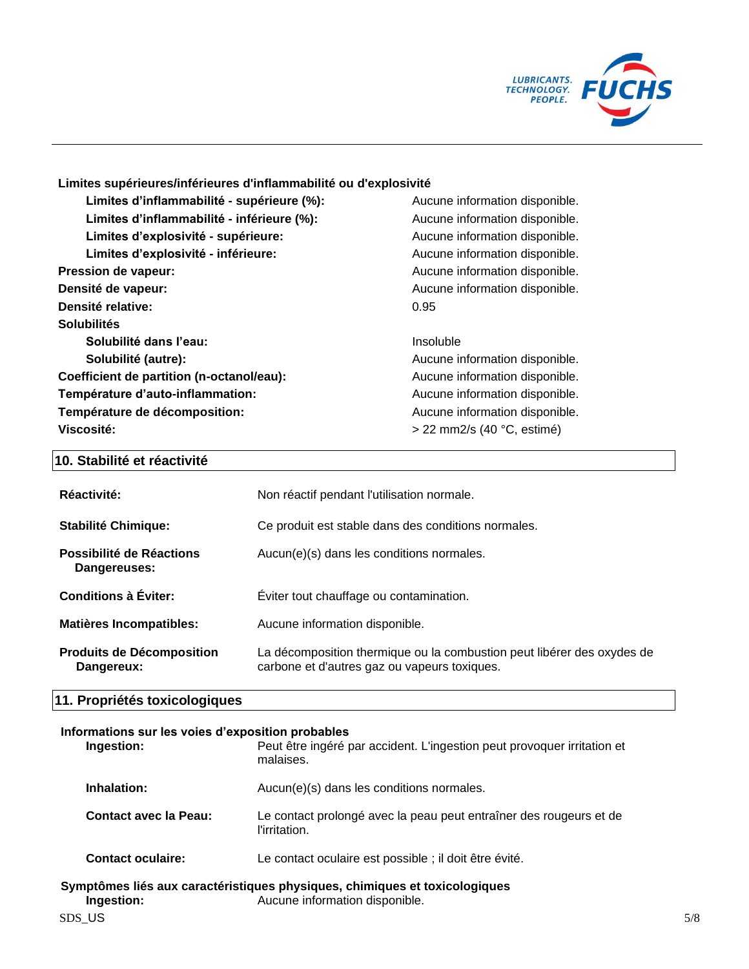

# **Limites supérieures/inférieures d'inflammabilité ou d'explosivité**

| Limites d'inflammabilité - supérieure (%): | Aucune information disponible. |
|--------------------------------------------|--------------------------------|
| Limites d'inflammabilité - inférieure (%): | Aucune information disponible. |
| Limites d'explosivité - supérieure:        | Aucune information disponible. |
| Limites d'explosivité - inférieure:        | Aucune information disponible. |
| <b>Pression de vapeur:</b>                 | Aucune information disponible. |
| Densité de vapeur:                         | Aucune information disponible. |
| Densité relative:                          | 0.95                           |
| <b>Solubilités</b>                         |                                |
| Solubilité dans l'eau:                     | Insoluble                      |
| Solubilité (autre):                        | Aucune information disponible. |
| Coefficient de partition (n-octanol/eau):  | Aucune information disponible. |
| Température d'auto-inflammation:           | Aucune information disponible. |
| Température de décomposition:              | Aucune information disponible. |
| Viscosité:                                 | $>$ 22 mm2/s (40 °C, estimé)   |

# **10. Stabilité et réactivité**

| Réactivité:                                    | Non réactif pendant l'utilisation normale.                                                                             |
|------------------------------------------------|------------------------------------------------------------------------------------------------------------------------|
| <b>Stabilité Chimique:</b>                     | Ce produit est stable dans des conditions normales.                                                                    |
| Possibilité de Réactions<br>Dangereuses:       | Aucun(e)(s) dans les conditions normales.                                                                              |
| Conditions à Éviter:                           | Eviter tout chauffage ou contamination.                                                                                |
| <b>Matières Incompatibles:</b>                 | Aucune information disponible.                                                                                         |
| <b>Produits de Décomposition</b><br>Dangereux: | La décomposition thermique ou la combustion peut libérer des oxydes de<br>carbone et d'autres gaz ou vapeurs toxiques. |

# **11. Propriétés toxicologiques**

#### **Informations sur les voies d'exposition probables**

| Ingestion:               | Peut être ingéré par accident. L'ingestion peut provoquer irritation et<br>malaises.                         |
|--------------------------|--------------------------------------------------------------------------------------------------------------|
| Inhalation:              | Aucun(e)(s) dans les conditions normales.                                                                    |
| Contact avec la Peau:    | Le contact prolongé avec la peau peut entraîner des rougeurs et de<br>l'irritation.                          |
| <b>Contact oculaire:</b> | Le contact oculaire est possible ; il doit être évité.                                                       |
| Ingestion:               | Symptômes liés aux caractéristiques physiques, chimiques et toxicologiques<br>Aucune information disponible. |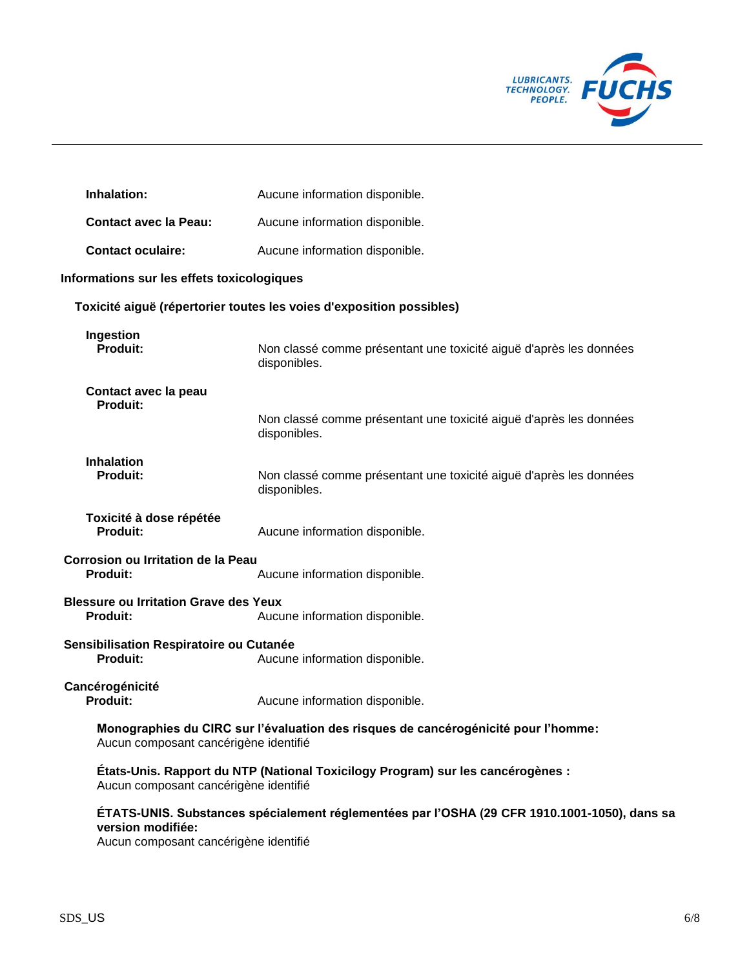

| Inhalation:                                                     | Aucune information disponible.                                                               |
|-----------------------------------------------------------------|----------------------------------------------------------------------------------------------|
| <b>Contact avec la Peau:</b>                                    | Aucune information disponible.                                                               |
| <b>Contact oculaire:</b>                                        | Aucune information disponible.                                                               |
| Informations sur les effets toxicologiques                      |                                                                                              |
|                                                                 | Toxicité aiguë (répertorier toutes les voies d'exposition possibles)                         |
| Ingestion<br><b>Produit:</b>                                    | Non classé comme présentant une toxicité aiguë d'après les données<br>disponibles.           |
| Contact avec la peau<br><b>Produit:</b>                         | Non classé comme présentant une toxicité aiguë d'après les données<br>disponibles.           |
| <b>Inhalation</b><br><b>Produit:</b>                            | Non classé comme présentant une toxicité aiguë d'après les données<br>disponibles.           |
| Toxicité à dose répétée<br><b>Produit:</b>                      | Aucune information disponible.                                                               |
| <b>Corrosion ou Irritation de la Peau</b><br><b>Produit:</b>    | Aucune information disponible.                                                               |
| <b>Blessure ou Irritation Grave des Yeux</b><br><b>Produit:</b> | Aucune information disponible.                                                               |
| Sensibilisation Respiratoire ou Cutanée<br><b>Produit:</b>      | Aucune information disponible.                                                               |
| Cancérogénicité<br><b>Produit:</b>                              | Aucune information disponible.                                                               |
| Aucun composant cancérigène identifié                           | Monographies du CIRC sur l'évaluation des risques de cancérogénicité pour l'homme:           |
| Aucun composant cancérigène identifié                           | États-Unis. Rapport du NTP (National Toxicilogy Program) sur les cancérogènes :              |
| version modifiée:<br>Aucun composant cancérigène identifié      | ÉTATS-UNIS. Substances spécialement réglementées par l'OSHA (29 CFR 1910.1001-1050), dans sa |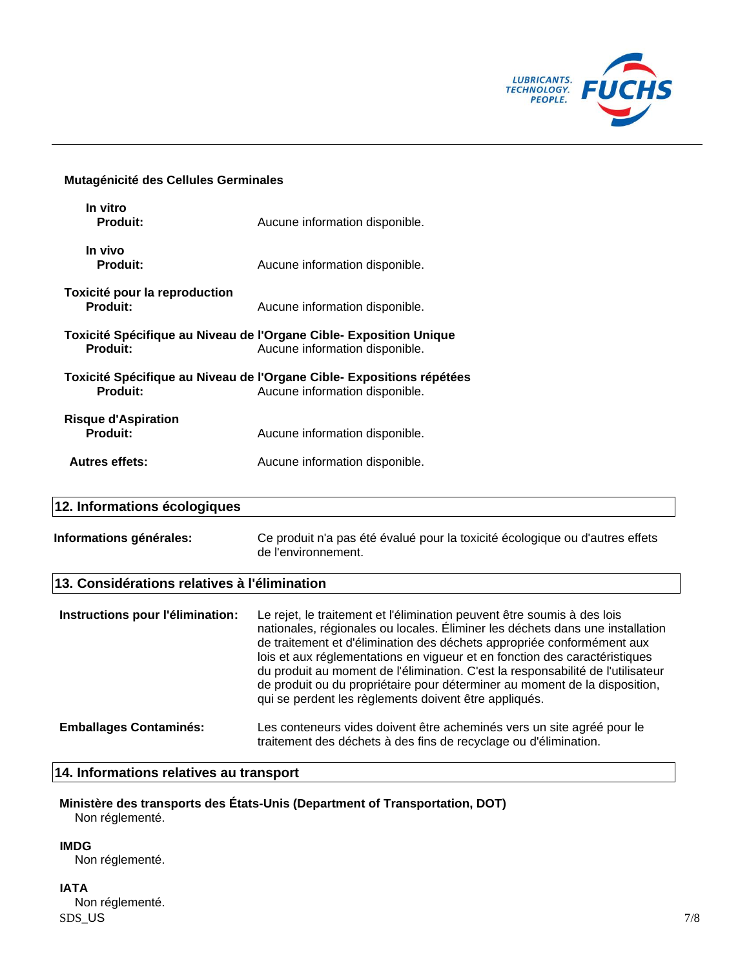

#### **Mutagénicité des Cellules Germinales**

| In vitro<br><b>Produit:</b>                      | Aucune information disponible.                                                                          |
|--------------------------------------------------|---------------------------------------------------------------------------------------------------------|
| In vivo<br><b>Produit:</b>                       | Aucune information disponible.                                                                          |
| Toxicité pour la reproduction<br><b>Produit:</b> | Aucune information disponible.                                                                          |
| <b>Produit:</b>                                  | Toxicité Spécifique au Niveau de l'Organe Cible- Exposition Unique<br>Aucune information disponible.    |
| <b>Produit:</b>                                  | Toxicité Spécifique au Niveau de l'Organe Cible- Expositions répétées<br>Aucune information disponible. |
| <b>Risque d'Aspiration</b><br><b>Produit:</b>    | Aucune information disponible.                                                                          |
| <b>Autres effets:</b>                            | Aucune information disponible.                                                                          |
|                                                  |                                                                                                         |

# **12. Informations écologiques**

| Informations générales: | Ce produit n'a pas été évalué pour la toxicité écologique ou d'autres effets |
|-------------------------|------------------------------------------------------------------------------|
|                         | de l'environnement.                                                          |

# **13. Considérations relatives à l'élimination**

| Instructions pour l'élimination: | Le rejet, le traitement et l'élimination peuvent être soumis à des lois<br>nationales, régionales ou locales. Éliminer les déchets dans une installation<br>de traitement et d'élimination des déchets appropriée conformément aux<br>lois et aux réglementations en vigueur et en fonction des caractéristiques<br>du produit au moment de l'élimination. C'est la responsabilité de l'utilisateur<br>de produit ou du propriétaire pour déterminer au moment de la disposition,<br>qui se perdent les règlements doivent être appliqués. |
|----------------------------------|--------------------------------------------------------------------------------------------------------------------------------------------------------------------------------------------------------------------------------------------------------------------------------------------------------------------------------------------------------------------------------------------------------------------------------------------------------------------------------------------------------------------------------------------|
| <b>Emballages Contaminés:</b>    | Les conteneurs vides doivent être acheminés vers un site agréé pour le<br>traitement des déchets à des fins de recyclage ou d'élimination.                                                                                                                                                                                                                                                                                                                                                                                                 |

## **14. Informations relatives au transport**

**Ministère des transports des États-Unis (Department of Transportation, DOT)** Non réglementé.

**IMDG**

Non réglementé.

 $SDS\_US$  7/8 **IATA** Non réglementé.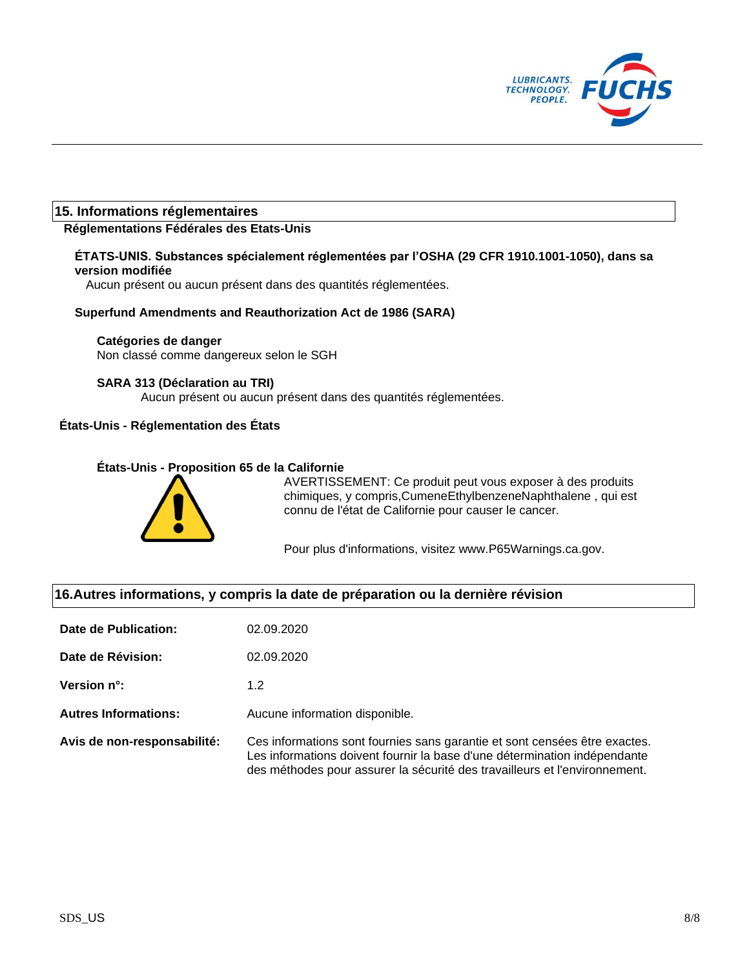

# **15. Informations réglementaires**

## **Réglementations Fédérales des Etats-Unis**

## **ÉTATS-UNIS. Substances spécialement réglementées par l'OSHA (29 CFR 1910.1001-1050), dans sa version modifiée**

Aucun présent ou aucun présent dans des quantités réglementées.

#### **Superfund Amendments and Reauthorization Act de 1986 (SARA)**

#### **Catégories de danger**

Non classé comme dangereux selon le SGH

#### **SARA 313 (Déclaration au TRI)**

Aucun présent ou aucun présent dans des quantités réglementées.

# **États-Unis - Réglementation des États**

# **États-Unis - Proposition 65 de la Californie**



AVERTISSEMENT: Ce produit peut vous exposer à des produits chimiques, y compris,CumeneEthylbenzeneNaphthalene , qui est connu de l'état de Californie pour causer le cancer.

Pour plus d'informations, visitez www.P65Warnings.ca.gov.

# **16.Autres informations, y compris la date de préparation ou la dernière révision**

| Date de Publication:        | 02.09.2020                                                                                                                                                                                                                            |
|-----------------------------|---------------------------------------------------------------------------------------------------------------------------------------------------------------------------------------------------------------------------------------|
| Date de Révision:           | 02.09.2020                                                                                                                                                                                                                            |
| Version n°:                 | 1.2                                                                                                                                                                                                                                   |
| <b>Autres Informations:</b> | Aucune information disponible.                                                                                                                                                                                                        |
| Avis de non-responsabilité: | Ces informations sont fournies sans garantie et sont censées être exactes.<br>Les informations doivent fournir la base d'une détermination indépendante<br>des méthodes pour assurer la sécurité des travailleurs et l'environnement. |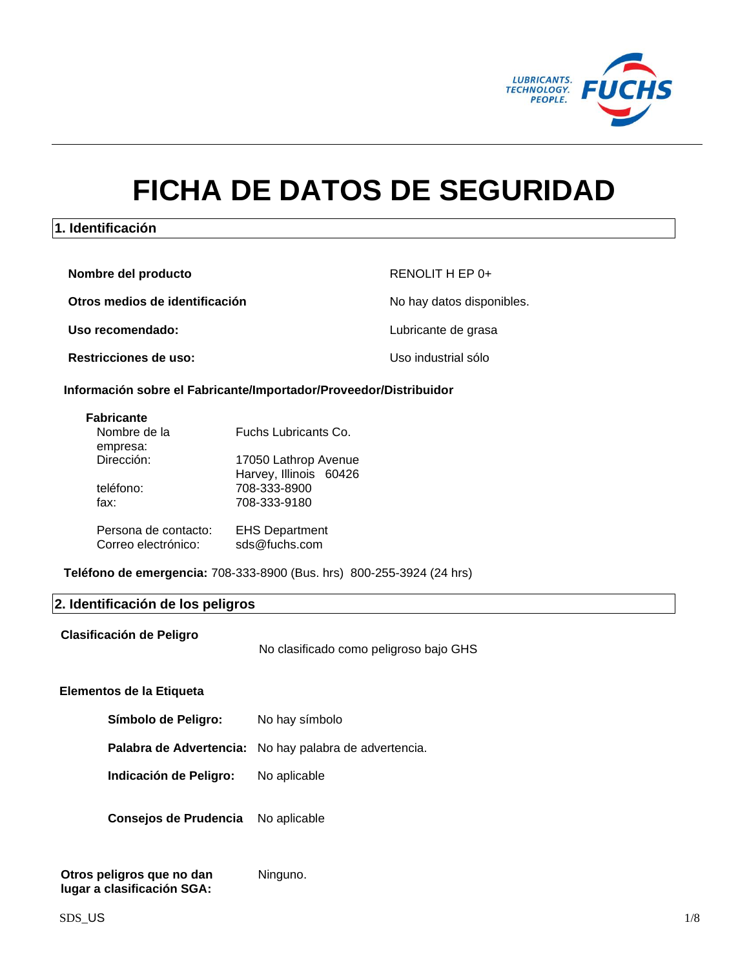

# **FICHA DE DATOS DE SEGURIDAD**

# **1. Identificación**

| Nombre del producto            | RENOLIT H EP 0+           |
|--------------------------------|---------------------------|
| Otros medios de identificación | No hay datos disponibles. |
| Uso recomendado:               | Lubricante de grasa       |
| <b>Restricciones de uso:</b>   | Uso industrial sólo       |

#### **Información sobre el Fabricante/Importador/Proveedor/Distribuidor**

| Nombre de la         | Fuchs Lubricants Co.   |
|----------------------|------------------------|
| empresa:             |                        |
| Dirección:           | 17050 Lathrop Avenue   |
|                      | Harvey, Illinois 60426 |
| teléfono:            | 708-333-8900           |
| fax:                 | 708-333-9180           |
|                      |                        |
| Persona de contacto: | <b>EHS Department</b>  |
| Correo electrónico:  | sds@fuchs.com          |
|                      |                        |

**Teléfono de emergencia:** 708-333-8900 (Bus. hrs) 800-255-3924 (24 hrs)

## **2. Identificación de los peligros**

**Clasificación de Peligro**

No clasificado como peligroso bajo GHS

#### **Elementos de la Etiqueta**

**Palabra de Advertencia:** No hay palabra de advertencia.

**Indicación de Peligro:** No aplicable

**Consejos de Prudencia** No aplicable

**Otros peligros que no dan lugar a clasificación SGA:** Ninguno.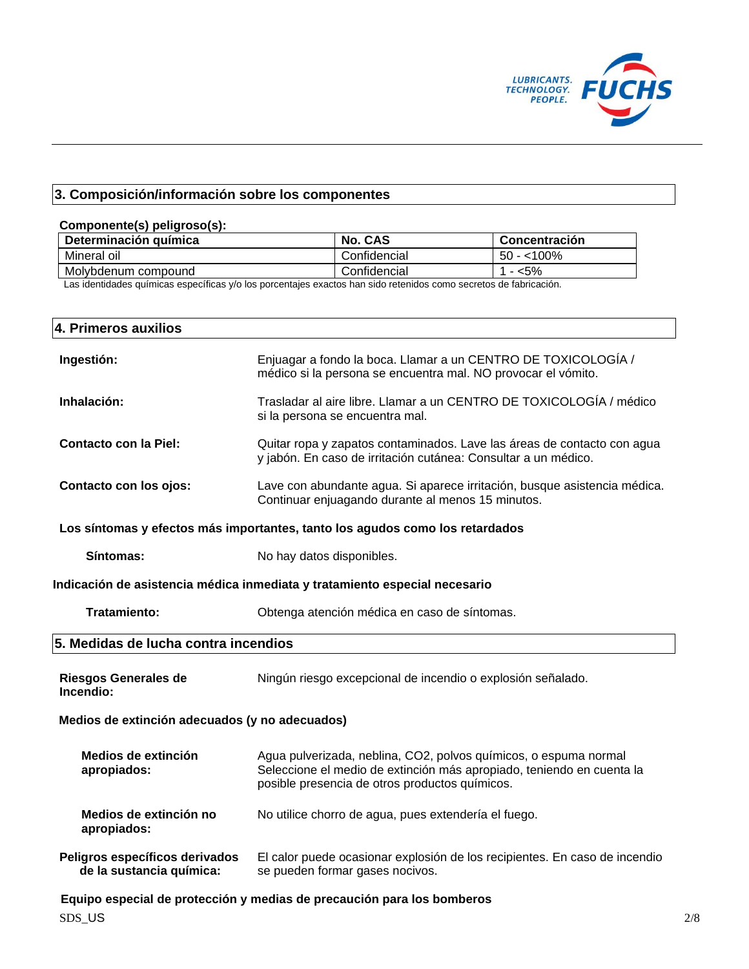

# **3. Composición/información sobre los componentes**

# **Componente(s) peligroso(s): Determinación química No. CAS Concentración** Mineral oil **Confidencial** 50 - <100% Molybdenum compound Confidencial 1 - <5%

Las identidades químicas específicas y/o los porcentajes exactos han sido retenidos como secretos de fabricación.

| 4. Primeros auxilios                                                         |                                                                                                                                                                                             |  |
|------------------------------------------------------------------------------|---------------------------------------------------------------------------------------------------------------------------------------------------------------------------------------------|--|
| Ingestión:                                                                   | Enjuagar a fondo la boca. Llamar a un CENTRO DE TOXICOLOGÍA /<br>médico si la persona se encuentra mal. NO provocar el vómito.                                                              |  |
| Inhalación:                                                                  | Trasladar al aire libre. Llamar a un CENTRO DE TOXICOLOGÍA / médico<br>si la persona se encuentra mal.                                                                                      |  |
| <b>Contacto con la Piel:</b>                                                 | Quitar ropa y zapatos contaminados. Lave las áreas de contacto con agua<br>y jabón. En caso de irritación cutánea: Consultar a un médico.                                                   |  |
| Contacto con los ojos:                                                       | Lave con abundante agua. Si aparece irritación, busque asistencia médica.<br>Continuar enjuagando durante al menos 15 minutos.                                                              |  |
| Los síntomas y efectos más importantes, tanto los agudos como los retardados |                                                                                                                                                                                             |  |
| Síntomas:                                                                    | No hay datos disponibles.                                                                                                                                                                   |  |
| Indicación de asistencia médica inmediata y tratamiento especial necesario   |                                                                                                                                                                                             |  |
| <b>Tratamiento:</b>                                                          | Obtenga atención médica en caso de síntomas.                                                                                                                                                |  |
| 5. Medidas de lucha contra incendios                                         |                                                                                                                                                                                             |  |
| <b>Riesgos Generales de</b><br>Incendio:                                     | Ningún riesgo excepcional de incendio o explosión señalado.                                                                                                                                 |  |
| Medios de extinción adecuados (y no adecuados)                               |                                                                                                                                                                                             |  |
| Medios de extinción<br>apropiados:                                           | Agua pulverizada, neblina, CO2, polvos químicos, o espuma normal<br>Seleccione el medio de extinción más apropiado, teniendo en cuenta la<br>posible presencia de otros productos químicos. |  |
| Medios de extinción no<br>apropiados:                                        | No utilice chorro de agua, pues extendería el fuego.                                                                                                                                        |  |
| Peligros específicos derivados<br>de la sustancia química:                   | El calor puede ocasionar explosión de los recipientes. En caso de incendio<br>se pueden formar gases nocivos.                                                                               |  |
|                                                                              | Equipo especial de protección y medias de precaución para los bomberos                                                                                                                      |  |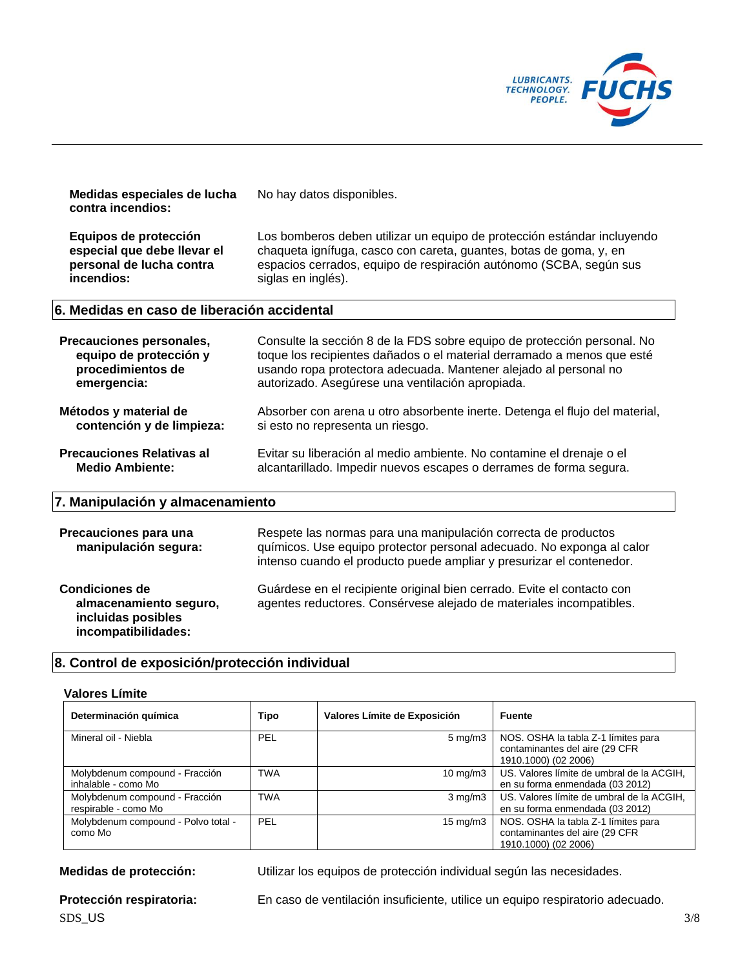

| Medidas especiales de lucha<br>contra incendios:                                               | No hay datos disponibles.                                                                                                                                                                                                                                                 |
|------------------------------------------------------------------------------------------------|---------------------------------------------------------------------------------------------------------------------------------------------------------------------------------------------------------------------------------------------------------------------------|
| Equipos de protección<br>especial que debe llevar el<br>personal de lucha contra<br>incendios: | Los bomberos deben utilizar un equipo de protección estándar incluyendo<br>chaqueta ignífuga, casco con careta, guantes, botas de goma, y, en<br>espacios cerrados, equipo de respiración autónomo (SCBA, según sus<br>siglas en inglés).                                 |
| 6. Medidas en caso de liberación accidental                                                    |                                                                                                                                                                                                                                                                           |
| Precauciones personales,<br>equipo de protección y<br>procedimientos de<br>emergencia:         | Consulte la sección 8 de la FDS sobre equipo de protección personal. No<br>toque los recipientes dañados o el material derramado a menos que esté<br>usando ropa protectora adecuada. Mantener alejado al personal no<br>autorizado. Asegúrese una ventilación apropiada. |
| Métodos y material de<br>contención y de limpieza:                                             | Absorber con arena u otro absorbente inerte. Detenga el flujo del material,<br>si esto no representa un riesgo.                                                                                                                                                           |
| <b>Precauciones Relativas al</b><br><b>Medio Ambiente:</b>                                     | Evitar su liberación al medio ambiente. No contamine el drenaje o el<br>alcantarillado. Impedir nuevos escapes o derrames de forma segura.                                                                                                                                |
| 7. Manipulación y almacenamiento                                                               |                                                                                                                                                                                                                                                                           |
| Precauciones para una<br>manipulación segura:                                                  | Respete las normas para una manipulación correcta de productos<br>químicos. Use equipo protector personal adecuado. No exponga al calor<br>intenso cuando el producto puede ampliar y presurizar el contenedor.                                                           |
| <b>Condiciones de</b><br>almacenamiento seguro,<br>incluidas posibles<br>incompatibilidades:   | Guárdese en el recipiente original bien cerrado. Evite el contacto con<br>agentes reductores. Consérvese alejado de materiales incompatibles.                                                                                                                             |

# **8. Control de exposición/protección individual**

#### **Valores Límite**

| Determinación química                                  | Tipo       | Valores Límite de Exposición | <b>Fuente</b>                                                                                 |
|--------------------------------------------------------|------------|------------------------------|-----------------------------------------------------------------------------------------------|
| Mineral oil - Niebla                                   | <b>PEL</b> | $5 \text{ mg/m}$ 3           | NOS. OSHA la tabla Z-1 límites para<br>contaminantes del aire (29 CFR<br>1910.1000) (02 2006) |
| Molybdenum compound - Fracción<br>inhalable - como Mo  | <b>TWA</b> | $10 \text{ mg/m}$            | US. Valores límite de umbral de la ACGIH,<br>en su forma enmendada (03 2012)                  |
| Molybdenum compound - Fracción<br>respirable - como Mo | <b>TWA</b> | $3$ mg/m $3$                 | US. Valores límite de umbral de la ACGIH,<br>en su forma enmendada (03 2012)                  |
| Molybdenum compound - Polvo total -<br>como Mo         | <b>PEL</b> | $15 \text{ mg/m}$            | NOS. OSHA la tabla Z-1 límites para<br>contaminantes del aire (29 CFR<br>1910.1000) (02 2006) |

**Medidas de protección:** Utilizar los equipos de protección individual según las necesidades.

**Protección respiratoria:** En caso de ventilación insuficiente, utilice un equipo respiratorio adecuado.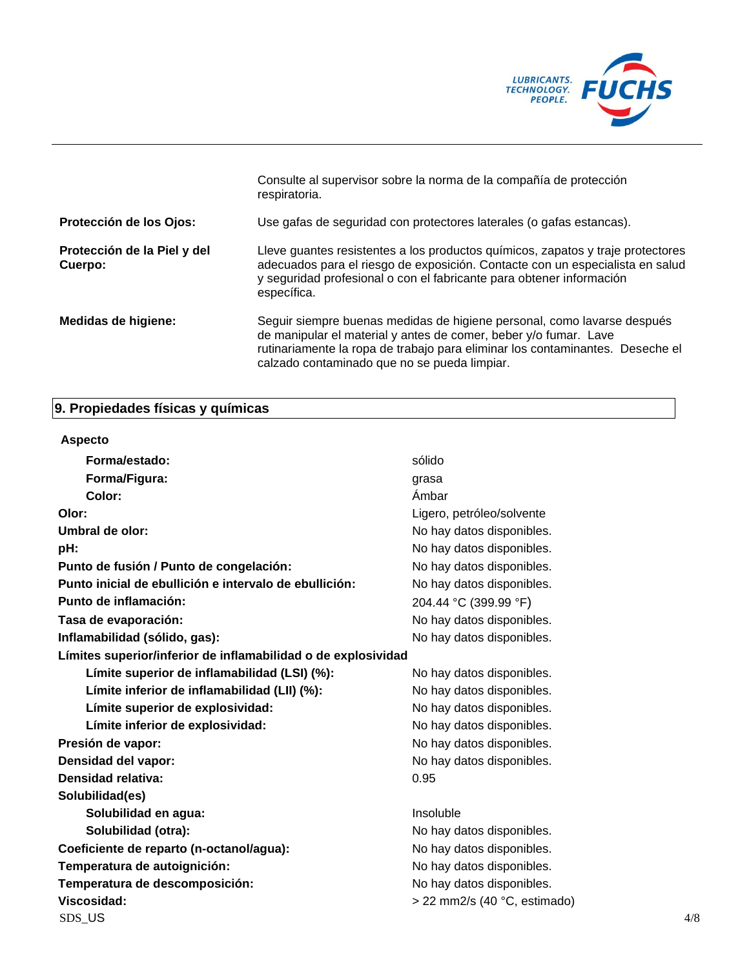

|                                        | Consulte al supervisor sobre la norma de la compañía de protección<br>respiratoria.                                                                                                                                                                                          |
|----------------------------------------|------------------------------------------------------------------------------------------------------------------------------------------------------------------------------------------------------------------------------------------------------------------------------|
| Protección de los Ojos:                | Use gafas de seguridad con protectores laterales (o gafas estancas).                                                                                                                                                                                                         |
| Protección de la Piel y del<br>Cuerpo: | Lleve guantes resistentes a los productos químicos, zapatos y traje protectores<br>adecuados para el riesgo de exposición. Contacte con un especialista en salud<br>y seguridad profesional o con el fabricante para obtener información<br>específica.                      |
| Medidas de higiene:                    | Seguir siempre buenas medidas de higiene personal, como lavarse después<br>de manipular el material y antes de comer, beber y/o fumar. Lave<br>rutinariamente la ropa de trabajo para eliminar los contaminantes. Deseche el<br>calzado contaminado que no se pueda limpiar. |

# **9. Propiedades físicas y químicas**

| <b>Aspecto</b>                                                |                                |     |
|---------------------------------------------------------------|--------------------------------|-----|
| Forma/estado:                                                 | sólido                         |     |
| Forma/Figura:                                                 | grasa                          |     |
| Color:                                                        | Ámbar                          |     |
| Olor:                                                         | Ligero, petróleo/solvente      |     |
| Umbral de olor:                                               | No hay datos disponibles.      |     |
| pH:                                                           | No hay datos disponibles.      |     |
| Punto de fusión / Punto de congelación:                       | No hay datos disponibles.      |     |
| Punto inicial de ebullición e intervalo de ebullición:        | No hay datos disponibles.      |     |
| Punto de inflamación:                                         | 204.44 °C (399.99 °F)          |     |
| Tasa de evaporación:                                          | No hay datos disponibles.      |     |
| Inflamabilidad (sólido, gas):                                 | No hay datos disponibles.      |     |
| Límites superior/inferior de inflamabilidad o de explosividad |                                |     |
| Límite superior de inflamabilidad (LSI) (%):                  | No hay datos disponibles.      |     |
| Límite inferior de inflamabilidad (LII) (%):                  | No hay datos disponibles.      |     |
| Límite superior de explosividad:                              | No hay datos disponibles.      |     |
| Límite inferior de explosividad:                              | No hay datos disponibles.      |     |
| Presión de vapor:                                             | No hay datos disponibles.      |     |
| Densidad del vapor:                                           | No hay datos disponibles.      |     |
| <b>Densidad relativa:</b>                                     | 0.95                           |     |
| Solubilidad(es)                                               |                                |     |
| Solubilidad en agua:                                          | Insoluble                      |     |
| Solubilidad (otra):                                           | No hay datos disponibles.      |     |
| Coeficiente de reparto (n-octanol/agua):                      | No hay datos disponibles.      |     |
| Temperatura de autoignición:                                  | No hay datos disponibles.      |     |
| Temperatura de descomposición:                                | No hay datos disponibles.      |     |
| Viscosidad:                                                   | $>$ 22 mm2/s (40 °C, estimado) |     |
| SDS_US                                                        |                                | 4/8 |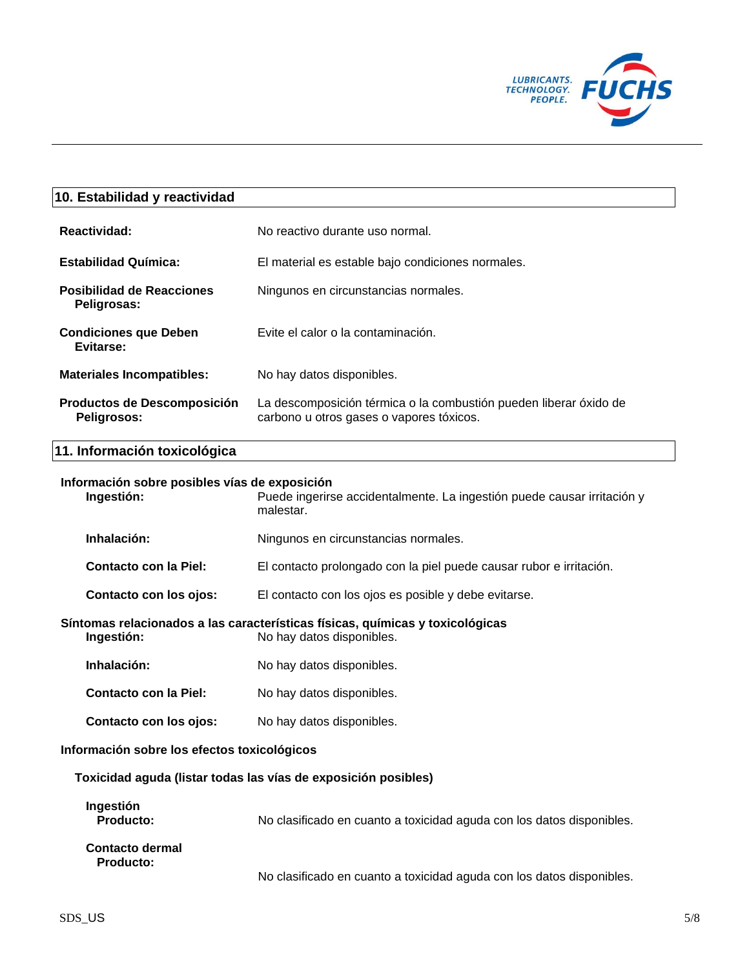

# **10. Estabilidad y reactividad**

| Reactividad:                                    | No reactivo durante uso normal.                                                                               |
|-------------------------------------------------|---------------------------------------------------------------------------------------------------------------|
| <b>Estabilidad Química:</b>                     | El material es estable bajo condiciones normales.                                                             |
| <b>Posibilidad de Reacciones</b><br>Peligrosas: | Ningunos en circunstancias normales.                                                                          |
| <b>Condiciones que Deben</b><br>Evitarse:       | Evite el calor o la contaminación.                                                                            |
| <b>Materiales Incompatibles:</b>                | No hay datos disponibles.                                                                                     |
| Productos de Descomposición<br>Peligrosos:      | La descomposición térmica o la combustión pueden liberar óxido de<br>carbono u otros gases o vapores tóxicos. |

# **11. Información toxicológica**

#### **Información sobre posibles vías de exposición**

**Ingestión:** Puede ingerirse accidentalmente. La ingestión puede causar irritación y malestar.

Inhalación: Ningunos en circunstancias normales.

**Contacto con la Piel:** El contacto prolongado con la piel puede causar rubor e irritación.

**Contacto con los ojos:** El contacto con los ojos es posible y debe evitarse.

**Síntomas relacionados a las características físicas, químicas y toxicológicas Ingestión:** No hay datos disponibles.

Inhalación: No hay datos disponibles.

**Contacto con la Piel:** No hay datos disponibles.

**Contacto con los ojos:** No hay datos disponibles.

#### **Información sobre los efectos toxicológicos**

**Toxicidad aguda (listar todas las vías de exposición posibles)**

| Ingestión<br><b>Producto:</b>              | No clasificado en cuanto a toxicidad aguda con los datos disponibles. |
|--------------------------------------------|-----------------------------------------------------------------------|
| <b>Contacto dermal</b><br><b>Producto:</b> | No clasificado en cuanto a toxicidad aguda con los datos disponibles. |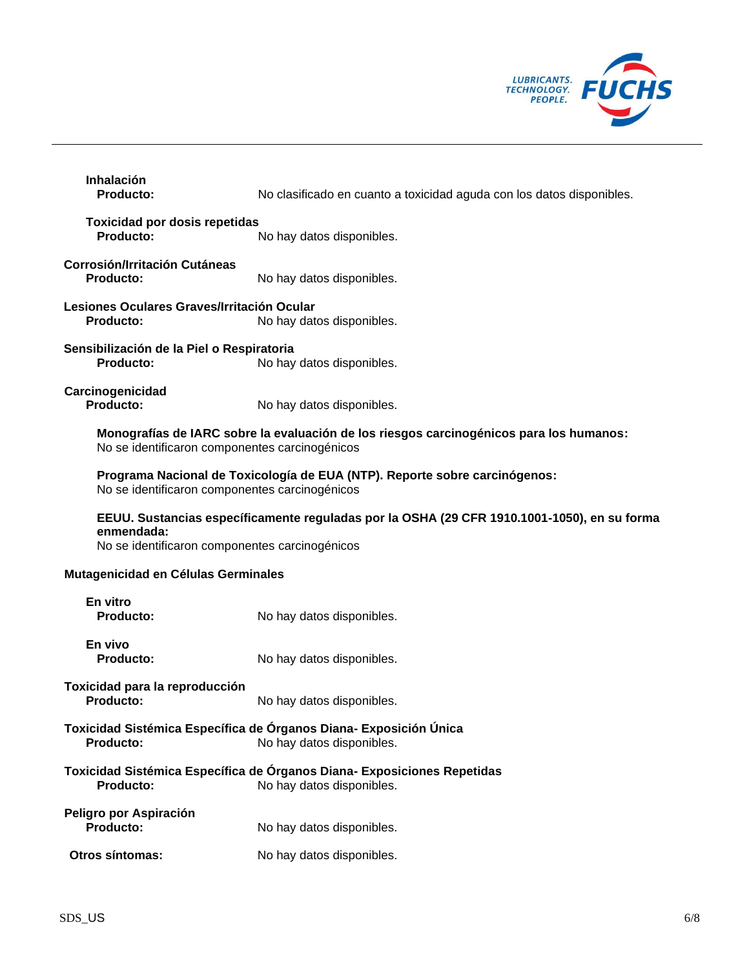

| <b>Inhalación</b><br>Producto:                                                                                                                              | No clasificado en cuanto a toxicidad aguda con los datos disponibles.                                |  |
|-------------------------------------------------------------------------------------------------------------------------------------------------------------|------------------------------------------------------------------------------------------------------|--|
| <b>Toxicidad por dosis repetidas</b><br>Producto:                                                                                                           | No hay datos disponibles.                                                                            |  |
| <b>Corrosión/Irritación Cutáneas</b><br>Producto:                                                                                                           | No hay datos disponibles.                                                                            |  |
| Lesiones Oculares Graves/Irritación Ocular<br>Producto:                                                                                                     | No hay datos disponibles.                                                                            |  |
| Sensibilización de la Piel o Respiratoria<br>Producto:                                                                                                      | No hay datos disponibles.                                                                            |  |
| Carcinogenicidad<br>Producto:                                                                                                                               | No hay datos disponibles.                                                                            |  |
| Monografías de IARC sobre la evaluación de los riesgos carcinogénicos para los humanos:<br>No se identificaron componentes carcinogénicos                   |                                                                                                      |  |
| No se identificaron componentes carcinogénicos                                                                                                              | Programa Nacional de Toxicología de EUA (NTP). Reporte sobre carcinógenos:                           |  |
| EEUU. Sustancias específicamente reguladas por la OSHA (29 CFR 1910.1001-1050), en su forma<br>enmendada:<br>No se identificaron componentes carcinogénicos |                                                                                                      |  |
| Mutagenicidad en Células Germinales                                                                                                                         |                                                                                                      |  |
| En vitro<br>Producto:                                                                                                                                       | No hay datos disponibles.                                                                            |  |
| En vivo<br><b>Producto:</b>                                                                                                                                 | No hay datos disponibles.                                                                            |  |
| Toxicidad para la reproducción<br>Producto:                                                                                                                 | No hay datos disponibles.                                                                            |  |
| Toxicidad Sistémica Específica de Órganos Diana- Exposición Única<br>Producto:<br>No hay datos disponibles.                                                 |                                                                                                      |  |
| Producto:                                                                                                                                                   | Toxicidad Sistémica Específica de Órganos Diana- Exposiciones Repetidas<br>No hay datos disponibles. |  |
| Peligro por Aspiración<br>Producto:                                                                                                                         | No hay datos disponibles.                                                                            |  |
| Otros síntomas:                                                                                                                                             | No hay datos disponibles.                                                                            |  |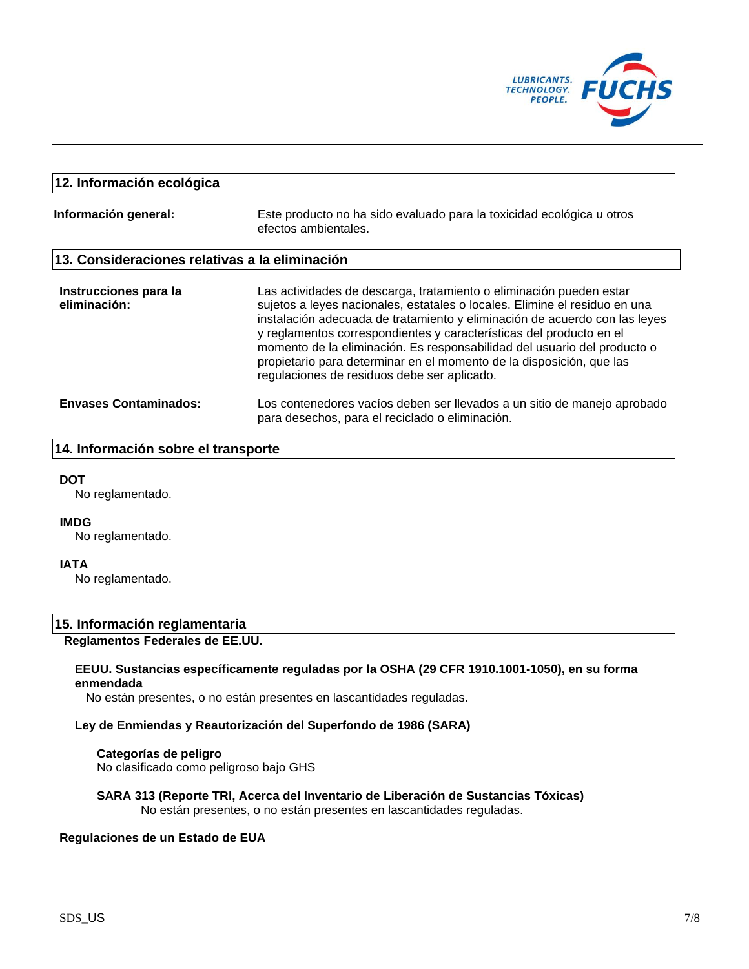

# **12. Información ecológica**

**Información general:** Este producto no ha sido evaluado para la toxicidad ecológica u otros efectos ambientales.

## **13. Consideraciones relativas a la eliminación**

| Instrucciones para la<br>eliminación: | Las actividades de descarga, tratamiento o eliminación pueden estar<br>sujetos a leyes nacionales, estatales o locales. Elimine el residuo en una<br>instalación adecuada de tratamiento y eliminación de acuerdo con las leyes<br>y reglamentos correspondientes y características del producto en el<br>momento de la eliminación. Es responsabilidad del usuario del producto o<br>propietario para determinar en el momento de la disposición, que las<br>regulaciones de residuos debe ser aplicado. |
|---------------------------------------|-----------------------------------------------------------------------------------------------------------------------------------------------------------------------------------------------------------------------------------------------------------------------------------------------------------------------------------------------------------------------------------------------------------------------------------------------------------------------------------------------------------|
| <b>Envases Contaminados:</b>          | Los contenedores vacíos deben ser llevados a un sitio de manejo aprobado<br>para desechos, para el reciclado o eliminación.                                                                                                                                                                                                                                                                                                                                                                               |

## **14. Información sobre el transporte**

#### **DOT**

No reglamentado.

#### **IMDG**

No reglamentado.

## **IATA**

No reglamentado.

# **15. Información reglamentaria**

# **Reglamentos Federales de EE.UU.**

#### **EEUU. Sustancias específicamente reguladas por la OSHA (29 CFR 1910.1001-1050), en su forma enmendada**

No están presentes, o no están presentes en lascantidades reguladas.

#### **Ley de Enmiendas y Reautorización del Superfondo de 1986 (SARA)**

**Categorías de peligro** No clasificado como peligroso bajo GHS

#### **SARA 313 (Reporte TRI, Acerca del Inventario de Liberación de Sustancias Tóxicas)** No están presentes, o no están presentes en lascantidades reguladas.

#### **Regulaciones de un Estado de EUA**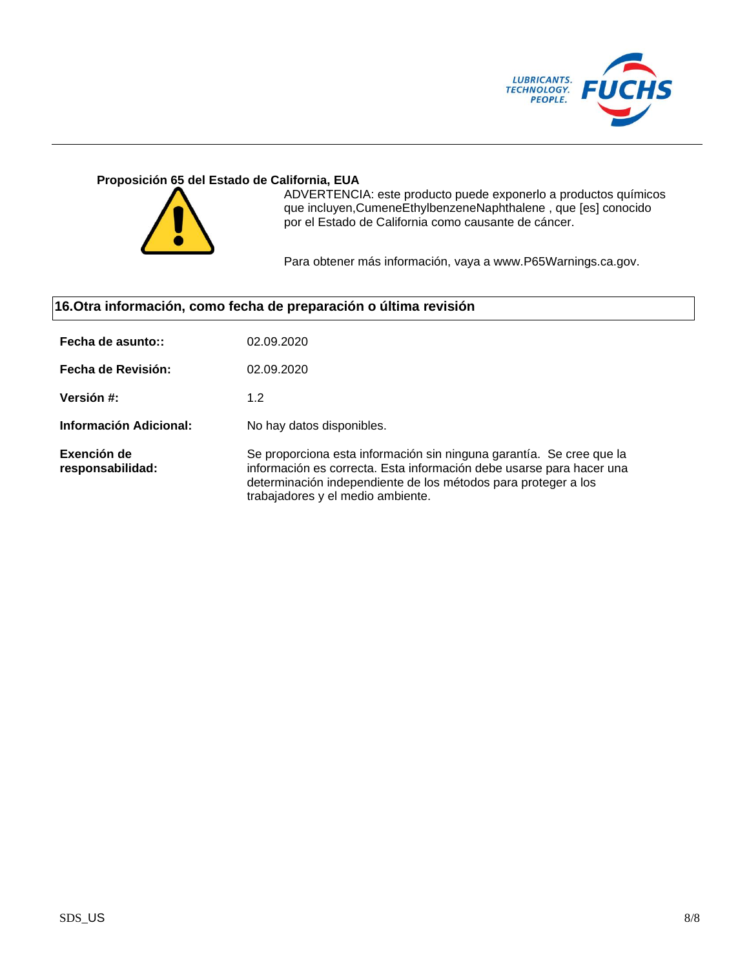

## **Proposición 65 del Estado de California, EUA**



ADVERTENCIA: este producto puede exponerlo a productos químicos que incluyen,CumeneEthylbenzeneNaphthalene , que [es] conocido por el Estado de California como causante de cáncer.

Para obtener más información, vaya a www.P65Warnings.ca.gov.

# **16.Otra información, como fecha de preparación o última revisión**

| Fecha de asunto::               | 02.09.2020                                                                                                                                                                                                                                          |
|---------------------------------|-----------------------------------------------------------------------------------------------------------------------------------------------------------------------------------------------------------------------------------------------------|
| Fecha de Revisión:              | 02.09.2020                                                                                                                                                                                                                                          |
| Versión #:                      | 1.2                                                                                                                                                                                                                                                 |
| Información Adicional:          | No hay datos disponibles.                                                                                                                                                                                                                           |
| Exención de<br>responsabilidad: | Se proporciona esta información sin ninguna garantía. Se cree que la<br>información es correcta. Esta información debe usarse para hacer una<br>determinación independiente de los métodos para proteger a los<br>trabajadores y el medio ambiente. |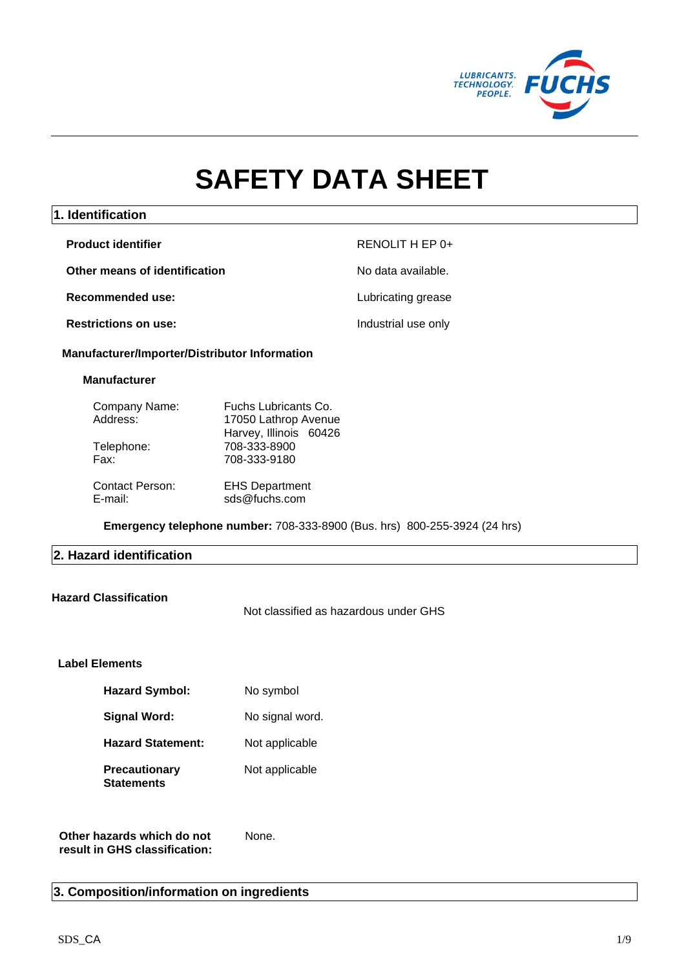

# **SAFETY DATA SHEET**

# **1. Identification**

| <b>Product identifier</b>     | RENOLIT H EP 0+     |
|-------------------------------|---------------------|
| Other means of identification | No data available.  |
| Recommended use:              | Lubricating grease  |
| <b>Restrictions on use:</b>   | Industrial use only |

## **Manufacturer/Importer/Distributor Information**

#### **Manufacturer**

| Company Name:          | Fuchs Lubricants Co.   |
|------------------------|------------------------|
| Address:               | 17050 Lathrop Avenue   |
|                        | Harvey, Illinois 60426 |
| Telephone:             | 708-333-8900           |
| Fax:                   | 708-333-9180           |
| <b>Contact Person:</b> | <b>EHS Department</b>  |
| E-mail:                | sds@fuchs.com          |

**Emergency telephone number:** 708-333-8900 (Bus. hrs) 800-255-3924 (24 hrs)

# **2. Hazard identification**

## **Hazard Classification**

Not classified as hazardous under GHS

# **Label Elements**

| <b>Hazard Symbol:</b>                     | No symbol       |
|-------------------------------------------|-----------------|
| Signal Word:                              | No signal word. |
| <b>Hazard Statement:</b>                  | Not applicable  |
| <b>Precautionary</b><br><b>Statements</b> | Not applicable  |

**Other hazards which do not result in GHS classification:** None.

# **3. Composition/information on ingredients**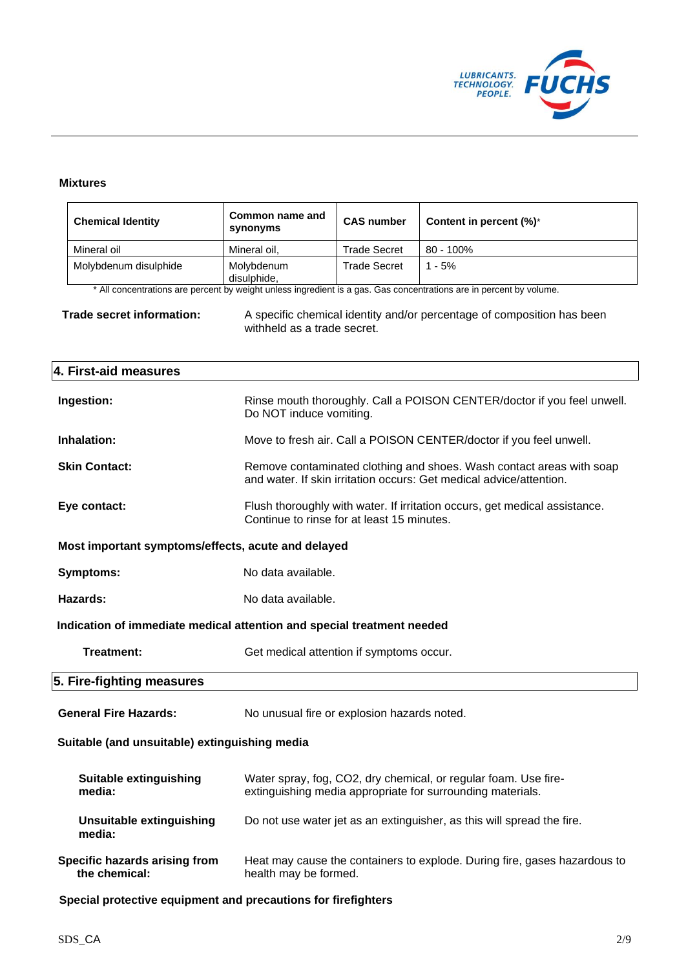

#### **Mixtures**

| <b>Chemical Identity</b>                                                                                                           | Common name and<br>synonyms                                                                                                                 | <b>CAS number</b>   | Content in percent (%)*                                                                                                       |  |
|------------------------------------------------------------------------------------------------------------------------------------|---------------------------------------------------------------------------------------------------------------------------------------------|---------------------|-------------------------------------------------------------------------------------------------------------------------------|--|
| Mineral oil                                                                                                                        | Mineral oil,                                                                                                                                | <b>Trade Secret</b> | 80 - 100%                                                                                                                     |  |
| Molybdenum disulphide                                                                                                              | Molybdenum<br>disulphide,                                                                                                                   | <b>Trade Secret</b> | $1 - 5%$                                                                                                                      |  |
|                                                                                                                                    |                                                                                                                                             |                     | * All concentrations are percent by weight unless ingredient is a gas. Gas concentrations are in percent by volume.           |  |
| Trade secret information:<br>A specific chemical identity and/or percentage of composition has been<br>withheld as a trade secret. |                                                                                                                                             |                     |                                                                                                                               |  |
| 4. First-aid measures                                                                                                              |                                                                                                                                             |                     |                                                                                                                               |  |
| Ingestion:                                                                                                                         | Do NOT induce vomiting.                                                                                                                     |                     | Rinse mouth thoroughly. Call a POISON CENTER/doctor if you feel unwell.                                                       |  |
| Inhalation:                                                                                                                        |                                                                                                                                             |                     | Move to fresh air. Call a POISON CENTER/doctor if you feel unwell.                                                            |  |
| <b>Skin Contact:</b>                                                                                                               | Remove contaminated clothing and shoes. Wash contact areas with soap<br>and water. If skin irritation occurs: Get medical advice/attention. |                     |                                                                                                                               |  |
| Eye contact:                                                                                                                       | Flush thoroughly with water. If irritation occurs, get medical assistance.<br>Continue to rinse for at least 15 minutes.                    |                     |                                                                                                                               |  |
| Most important symptoms/effects, acute and delayed                                                                                 |                                                                                                                                             |                     |                                                                                                                               |  |
| Symptoms:                                                                                                                          | No data available.                                                                                                                          |                     |                                                                                                                               |  |
| Hazards:                                                                                                                           | No data available.                                                                                                                          |                     |                                                                                                                               |  |
| Indication of immediate medical attention and special treatment needed                                                             |                                                                                                                                             |                     |                                                                                                                               |  |
| <b>Treatment:</b>                                                                                                                  | Get medical attention if symptoms occur.                                                                                                    |                     |                                                                                                                               |  |
| 5. Fire-fighting measures                                                                                                          |                                                                                                                                             |                     |                                                                                                                               |  |
| <b>General Fire Hazards:</b>                                                                                                       | No unusual fire or explosion hazards noted.                                                                                                 |                     |                                                                                                                               |  |
| Suitable (and unsuitable) extinguishing media                                                                                      |                                                                                                                                             |                     |                                                                                                                               |  |
| <b>Suitable extinguishing</b><br>media:                                                                                            |                                                                                                                                             |                     | Water spray, fog, CO2, dry chemical, or regular foam. Use fire-<br>extinguishing media appropriate for surrounding materials. |  |
| <b>Unsuitable extinguishing</b><br>media:                                                                                          |                                                                                                                                             |                     | Do not use water jet as an extinguisher, as this will spread the fire.                                                        |  |
| Specific hazards arising from<br>the chemical:                                                                                     | Heat may cause the containers to explode. During fire, gases hazardous to<br>health may be formed.                                          |                     |                                                                                                                               |  |

**Special protective equipment and precautions for firefighters**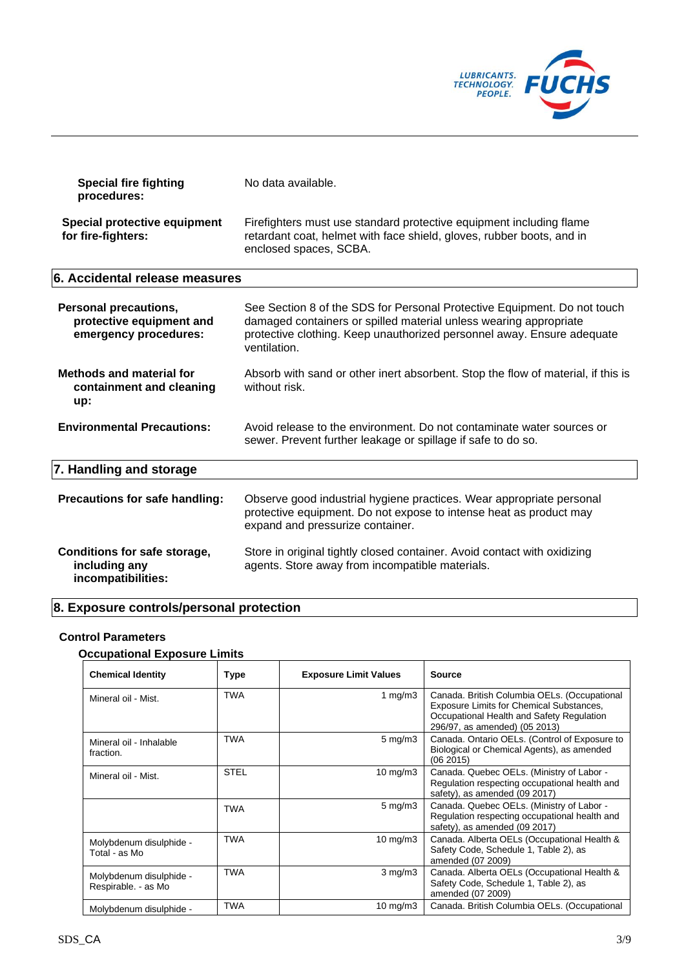

| <b>Special fire fighting</b><br>procedures:                                | No data available.                                                                                                                                                                                                                      |
|----------------------------------------------------------------------------|-----------------------------------------------------------------------------------------------------------------------------------------------------------------------------------------------------------------------------------------|
| Special protective equipment<br>for fire-fighters:                         | Firefighters must use standard protective equipment including flame<br>retardant coat, helmet with face shield, gloves, rubber boots, and in<br>enclosed spaces, SCBA.                                                                  |
| 6. Accidental release measures                                             |                                                                                                                                                                                                                                         |
| Personal precautions,<br>protective equipment and<br>emergency procedures: | See Section 8 of the SDS for Personal Protective Equipment. Do not touch<br>damaged containers or spilled material unless wearing appropriate<br>protective clothing. Keep unauthorized personnel away. Ensure adequate<br>ventilation. |
| <b>Methods and material for</b><br>containment and cleaning<br>up:         | Absorb with sand or other inert absorbent. Stop the flow of material, if this is<br>without risk.                                                                                                                                       |
| <b>Environmental Precautions:</b>                                          | Avoid release to the environment. Do not contaminate water sources or<br>sewer. Prevent further leakage or spillage if safe to do so.                                                                                                   |
| 7. Handling and storage                                                    |                                                                                                                                                                                                                                         |
| Precautions for safe handling:                                             | Observe good industrial hygiene practices. Wear appropriate personal<br>protective equipment. Do not expose to intense heat as product may<br>expand and pressurize container.                                                          |
| Conditions for safe storage,<br>including any<br>incompatibilities:        | Store in original tightly closed container. Avoid contact with oxidizing<br>agents. Store away from incompatible materials.                                                                                                             |

# **8. Exposure controls/personal protection**

# **Control Parameters**

# **Occupational Exposure Limits**

| <b>Chemical Identity</b>                       | <b>Type</b> | <b>Exposure Limit Values</b> | <b>Source</b>                                                                                                                                                          |
|------------------------------------------------|-------------|------------------------------|------------------------------------------------------------------------------------------------------------------------------------------------------------------------|
| Mineral oil - Mist.                            | <b>TWA</b>  | 1 mg/m $3$                   | Canada. British Columbia OELs. (Occupational<br>Exposure Limits for Chemical Substances,<br>Occupational Health and Safety Regulation<br>296/97, as amended) (05 2013) |
| Mineral oil - Inhalable<br>fraction.           | <b>TWA</b>  | $5 \text{ mg/m}$ 3           | Canada. Ontario OELs. (Control of Exposure to<br>Biological or Chemical Agents), as amended<br>(062015)                                                                |
| Mineral oil - Mist.                            | <b>STEL</b> | 10 mg/m $3$                  | Canada. Quebec OELs. (Ministry of Labor -<br>Regulation respecting occupational health and<br>safety), as amended (09 2017)                                            |
|                                                | <b>TWA</b>  | $5 \text{ mg/m}$ 3           | Canada. Quebec OELs. (Ministry of Labor -<br>Regulation respecting occupational health and<br>safety), as amended (09 2017)                                            |
| Molybdenum disulphide -<br>Total - as Mo       | <b>TWA</b>  | 10 mg/m $3$                  | Canada. Alberta OELs (Occupational Health &<br>Safety Code, Schedule 1, Table 2), as<br>amended (07 2009)                                                              |
| Molybdenum disulphide -<br>Respirable. - as Mo | <b>TWA</b>  | $3 \text{ mg/m}$             | Canada. Alberta OELs (Occupational Health &<br>Safety Code, Schedule 1, Table 2), as<br>amended (07 2009)                                                              |
| Molybdenum disulphide -                        | <b>TWA</b>  | 10 $mg/m3$                   | Canada. British Columbia OELs. (Occupational                                                                                                                           |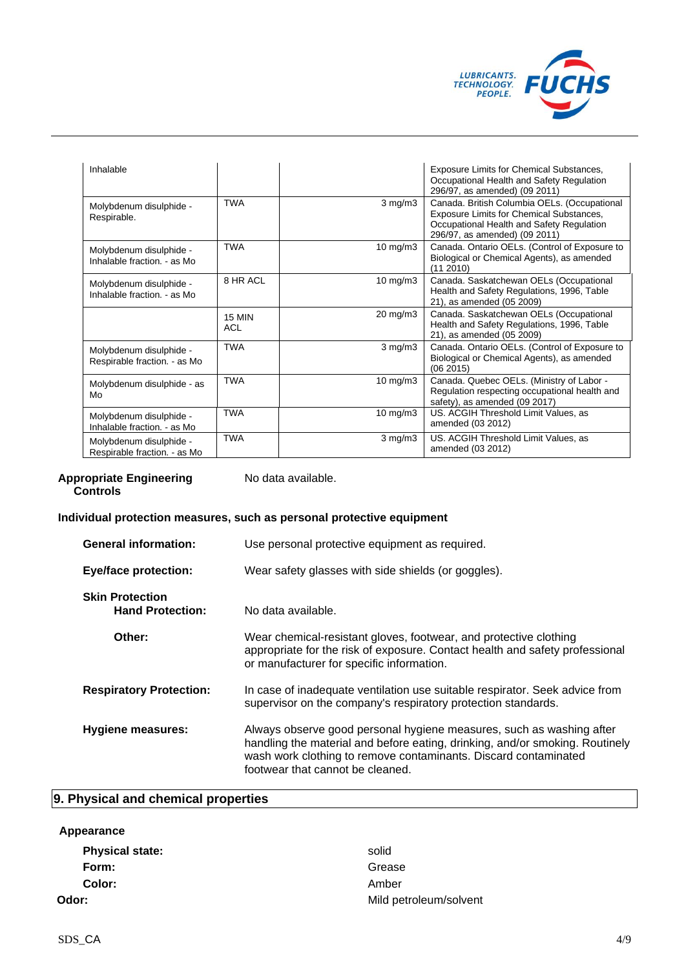

| Inhalable                                               |                      |                     | Exposure Limits for Chemical Substances,<br>Occupational Health and Safety Regulation<br>296/97, as amended) (09 2011)                                                 |
|---------------------------------------------------------|----------------------|---------------------|------------------------------------------------------------------------------------------------------------------------------------------------------------------------|
| Molybdenum disulphide -<br>Respirable.                  | <b>TWA</b>           | $3 \text{ mg/m}$    | Canada. British Columbia OELs. (Occupational<br>Exposure Limits for Chemical Substances,<br>Occupational Health and Safety Regulation<br>296/97, as amended) (09 2011) |
| Molybdenum disulphide -<br>Inhalable fraction. - as Mo  | <b>TWA</b>           | 10 mg/m $3$         | Canada. Ontario OELs. (Control of Exposure to<br>Biological or Chemical Agents), as amended<br>(11 2010)                                                               |
| Molybdenum disulphide -<br>Inhalable fraction. - as Mo  | 8 HR ACI             | $10 \text{ mg/m}$   | Canada. Saskatchewan OELs (Occupational<br>Health and Safety Regulations, 1996, Table<br>21), as amended (05 2009)                                                     |
|                                                         | <b>15 MIN</b><br>ACL | $20 \text{ mg/m}$ 3 | Canada. Saskatchewan OELs (Occupational<br>Health and Safety Regulations, 1996, Table<br>21), as amended (05 2009)                                                     |
| Molybdenum disulphide -<br>Respirable fraction. - as Mo | <b>TWA</b>           | 3 mg/m3             | Canada. Ontario OELs. (Control of Exposure to<br>Biological or Chemical Agents), as amended<br>(06 2015)                                                               |
| Molybdenum disulphide - as<br>Mo                        | <b>TWA</b>           | $10 \text{ mg/m}$   | Canada. Quebec OELs. (Ministry of Labor -<br>Regulation respecting occupational health and<br>safety), as amended (09 2017)                                            |
| Molybdenum disulphide -<br>Inhalable fraction. - as Mo  | <b>TWA</b>           | $10 \text{ mg/m}$   | US. ACGIH Threshold Limit Values, as<br>amended (03 2012)                                                                                                              |
| Molybdenum disulphide -<br>Respirable fraction. - as Mo | <b>TWA</b>           | $3 \text{ mg/m}$    | US. ACGIH Threshold Limit Values, as<br>amended (03 2012)                                                                                                              |

#### **Appropriate Engineering Controls**

No data available.

# **Individual protection measures, such as personal protective equipment**

| <b>General information:</b>                       | Use personal protective equipment as required.                                                                                                                                                                                                              |  |
|---------------------------------------------------|-------------------------------------------------------------------------------------------------------------------------------------------------------------------------------------------------------------------------------------------------------------|--|
| <b>Eye/face protection:</b>                       | Wear safety glasses with side shields (or goggles).                                                                                                                                                                                                         |  |
| <b>Skin Protection</b><br><b>Hand Protection:</b> | No data available.                                                                                                                                                                                                                                          |  |
| Other:                                            | Wear chemical-resistant gloves, footwear, and protective clothing<br>appropriate for the risk of exposure. Contact health and safety professional<br>or manufacturer for specific information.                                                              |  |
| <b>Respiratory Protection:</b>                    | In case of inadequate ventilation use suitable respirator. Seek advice from<br>supervisor on the company's respiratory protection standards.                                                                                                                |  |
| <b>Hygiene measures:</b>                          | Always observe good personal hygiene measures, such as washing after<br>handling the material and before eating, drinking, and/or smoking. Routinely<br>wash work clothing to remove contaminants. Discard contaminated<br>footwear that cannot be cleaned. |  |

# **9. Physical and chemical properties**

# **Appearance**

Physical state: solid Form: Grease **Form:** Grease **Grease Color:** Amber

**Odor:** Mild petroleum/solvent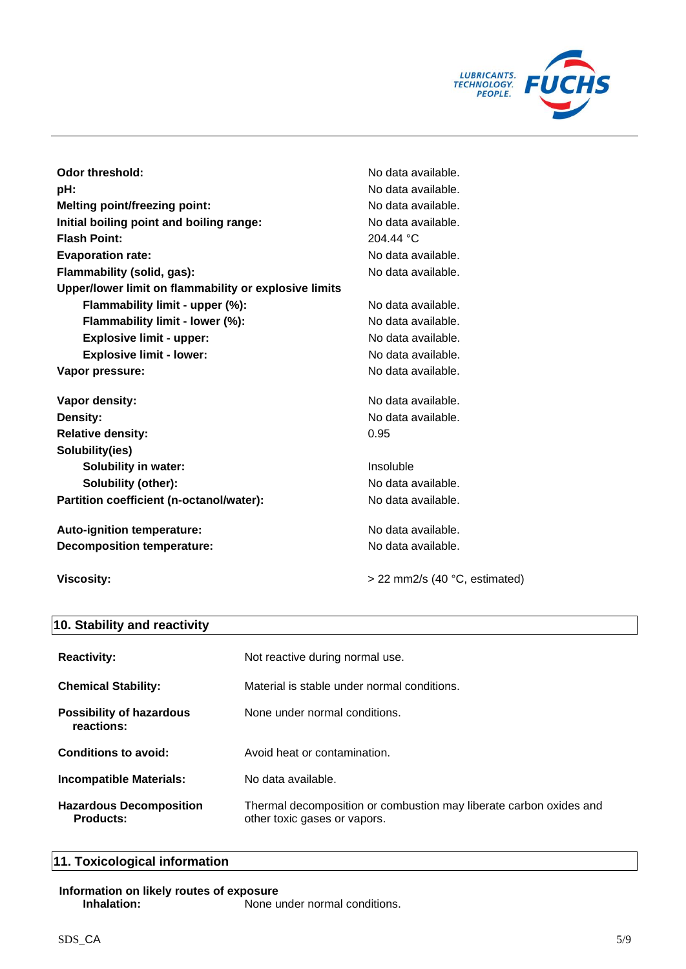

| Odor threshold:                                       | No data available. |
|-------------------------------------------------------|--------------------|
| pH:                                                   | No data available. |
| <b>Melting point/freezing point:</b>                  | No data available. |
| Initial boiling point and boiling range:              | No data available. |
| <b>Flash Point:</b>                                   | 204.44 °C          |
| <b>Evaporation rate:</b>                              | No data available. |
| Flammability (solid, gas):                            | No data available. |
| Upper/lower limit on flammability or explosive limits |                    |
| Flammability limit - upper (%):                       | No data available. |
| Flammability limit - lower (%):                       | No data available. |
| <b>Explosive limit - upper:</b>                       | No data available. |
| <b>Explosive limit - lower:</b>                       | No data available. |
| Vapor pressure:                                       | No data available. |
| Vapor density:                                        | No data available. |
| Density:                                              | No data available. |
| <b>Relative density:</b>                              | 0.95               |
| Solubility(ies)                                       |                    |
| <b>Solubility in water:</b>                           | Insoluble          |
| Solubility (other):                                   | No data available. |
| Partition coefficient (n-octanol/water):              | No data available. |
| Auto-ignition temperature:                            | No data available. |
| <b>Decomposition temperature:</b>                     | No data available. |

Viscosity:  $\frac{1}{2}$  > 22 mm2/s (40 °C, estimated)

# **10. Stability and reactivity**

| <b>Reactivity:</b>                            | Not reactive during normal use.                                                                    |
|-----------------------------------------------|----------------------------------------------------------------------------------------------------|
| <b>Chemical Stability:</b>                    | Material is stable under normal conditions.                                                        |
| <b>Possibility of hazardous</b><br>reactions: | None under normal conditions.                                                                      |
| Conditions to avoid:                          | Avoid heat or contamination.                                                                       |
| <b>Incompatible Materials:</b>                | No data available.                                                                                 |
| <b>Hazardous Decomposition</b><br>Products:   | Thermal decomposition or combustion may liberate carbon oxides and<br>other toxic gases or vapors. |

# **11. Toxicological information**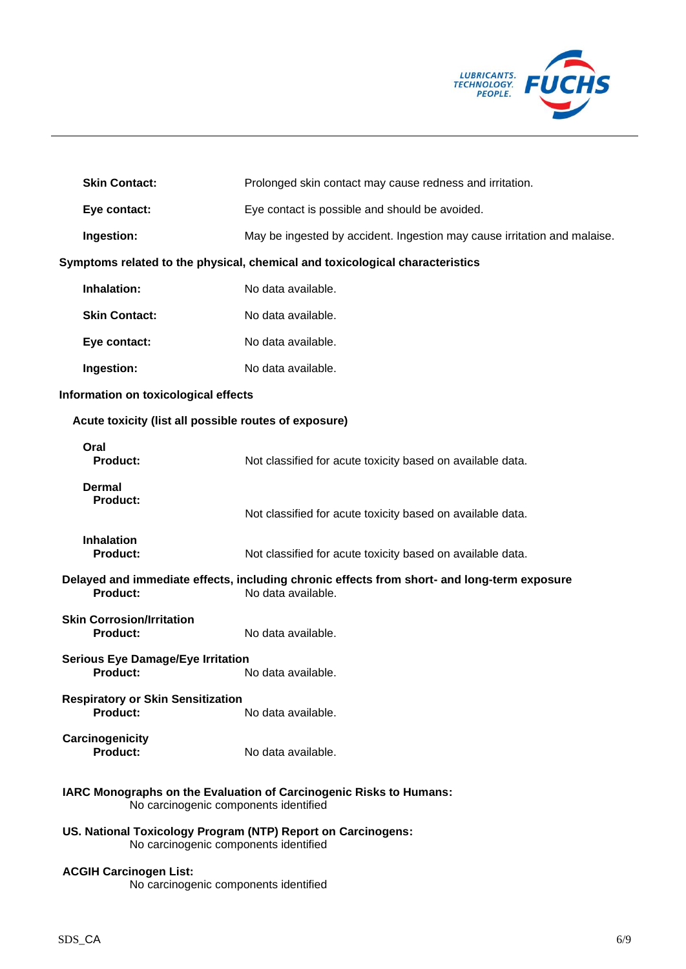

| <b>Skin Contact:</b>                                                   | Prolonged skin contact may cause redness and irritation.                                                          |
|------------------------------------------------------------------------|-------------------------------------------------------------------------------------------------------------------|
| Eye contact:                                                           | Eye contact is possible and should be avoided.                                                                    |
| Ingestion:                                                             | May be ingested by accident. Ingestion may cause irritation and malaise.                                          |
|                                                                        | Symptoms related to the physical, chemical and toxicological characteristics                                      |
| Inhalation:                                                            | No data available.                                                                                                |
| <b>Skin Contact:</b>                                                   | No data available.                                                                                                |
| Eye contact:                                                           | No data available.                                                                                                |
| Ingestion:                                                             | No data available.                                                                                                |
| Information on toxicological effects                                   |                                                                                                                   |
| Acute toxicity (list all possible routes of exposure)                  |                                                                                                                   |
| Oral<br><b>Product:</b>                                                | Not classified for acute toxicity based on available data.                                                        |
| <b>Dermal</b><br><b>Product:</b>                                       | Not classified for acute toxicity based on available data.                                                        |
| <b>Inhalation</b><br><b>Product:</b>                                   | Not classified for acute toxicity based on available data.                                                        |
| <b>Product:</b>                                                        | Delayed and immediate effects, including chronic effects from short- and long-term exposure<br>No data available. |
| <b>Skin Corrosion/Irritation</b><br>Product:                           | No data available.                                                                                                |
| <b>Serious Eye Damage/Eye Irritation</b><br><b>Product:</b>            | No data available.                                                                                                |
| <b>Respiratory or Skin Sensitization</b><br><b>Product:</b>            | No data available.                                                                                                |
| Carcinogenicity<br>Product:                                            | No data available.                                                                                                |
| No carcinogenic components identified                                  | IARC Monographs on the Evaluation of Carcinogenic Risks to Humans:                                                |
| No carcinogenic components identified                                  | US. National Toxicology Program (NTP) Report on Carcinogens:                                                      |
| <b>ACGIH Carcinogen List:</b><br>No carcinogenic components identified |                                                                                                                   |
|                                                                        |                                                                                                                   |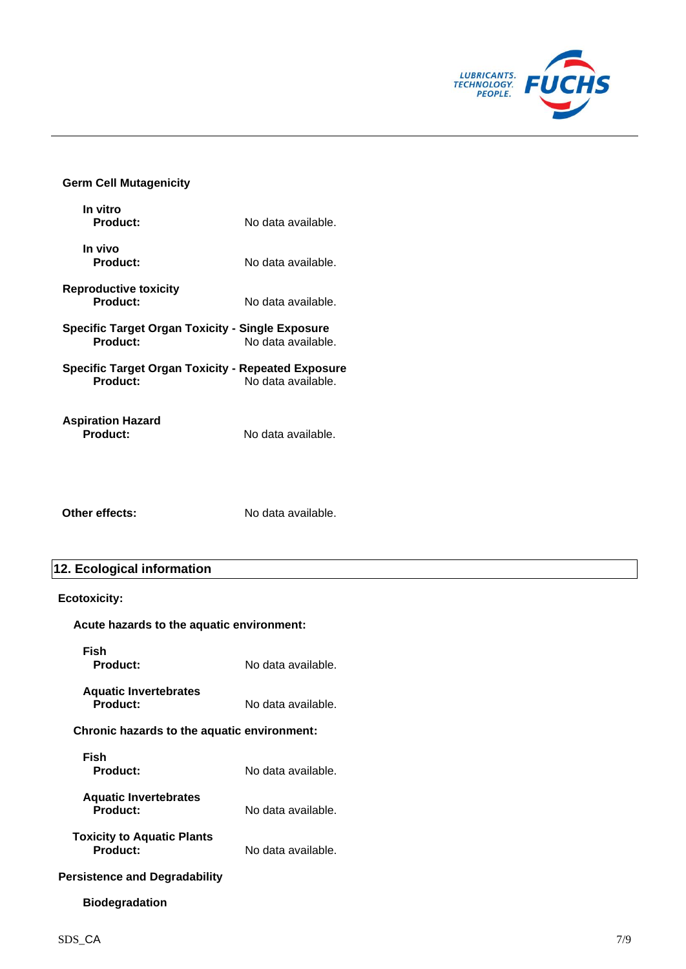

## **Germ Cell Mutagenicity**

| In vitro<br>Product:                                           | No data available. |
|----------------------------------------------------------------|--------------------|
| In vivo<br>Product:                                            | No data available. |
| Reproductive toxicity<br>Product:                              | No data available. |
| Specific Target Organ Toxicity - Single Exposure<br>Product:   | No data available. |
| Specific Target Organ Toxicity - Repeated Exposure<br>Product: | No data available. |
| <b>Aspiration Hazard</b><br><b>Product:</b>                    | No data available. |

**Other effects:** No data available.

# **12. Ecological information**

# **Ecotoxicity:**

| Acute hazards to the aquatic environment:     |                    |  |  |
|-----------------------------------------------|--------------------|--|--|
| Fish<br>Product:                              | No data available. |  |  |
| <b>Aquatic Invertebrates</b><br>Product:      | No data available. |  |  |
| Chronic hazards to the aquatic environment:   |                    |  |  |
| Fish<br>Product:                              | No data available. |  |  |
| <b>Aquatic Invertebrates</b><br>Product:      | No data available. |  |  |
| <b>Toxicity to Aquatic Plants</b><br>Product: | No data available. |  |  |

# **Persistence and Degradability**

# **Biodegradation**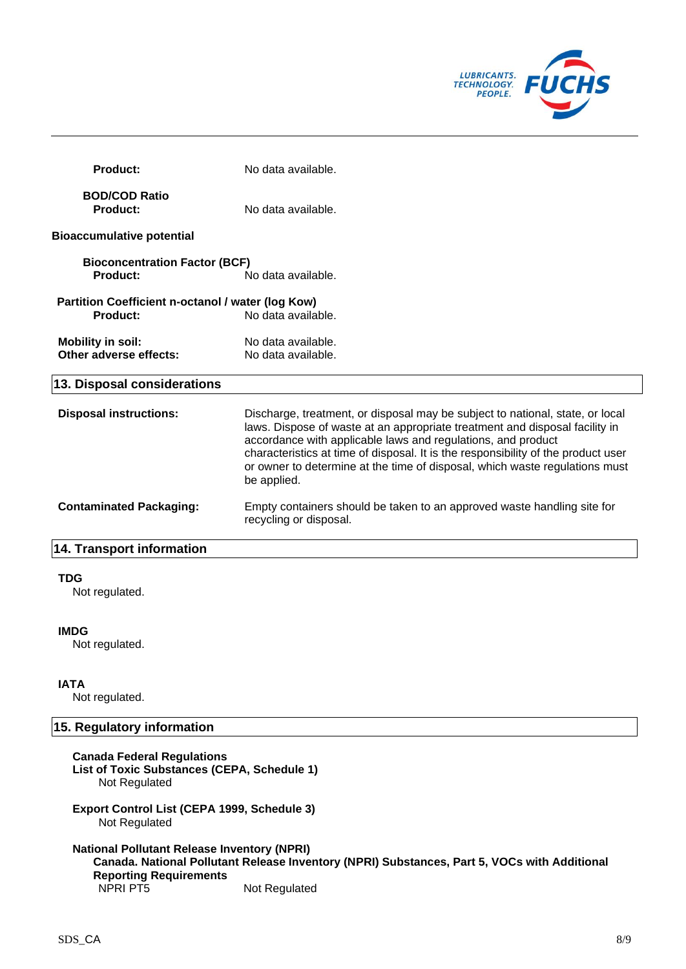

| <b>Product:</b>                                               | No data available.                                                                                                                                                                                                                                                                                                                                                                                              |
|---------------------------------------------------------------|-----------------------------------------------------------------------------------------------------------------------------------------------------------------------------------------------------------------------------------------------------------------------------------------------------------------------------------------------------------------------------------------------------------------|
| <b>BOD/COD Ratio</b><br>Product:                              | No data available.                                                                                                                                                                                                                                                                                                                                                                                              |
| <b>Bioaccumulative potential</b>                              |                                                                                                                                                                                                                                                                                                                                                                                                                 |
| <b>Bioconcentration Factor (BCF)</b><br>Product:              | No data available.                                                                                                                                                                                                                                                                                                                                                                                              |
| Partition Coefficient n-octanol / water (log Kow)<br>Product: | No data available.                                                                                                                                                                                                                                                                                                                                                                                              |
| <b>Mobility in soil:</b><br>Other adverse effects:            | No data available.<br>No data available.                                                                                                                                                                                                                                                                                                                                                                        |
| 13. Disposal considerations                                   |                                                                                                                                                                                                                                                                                                                                                                                                                 |
| <b>Disposal instructions:</b>                                 | Discharge, treatment, or disposal may be subject to national, state, or local<br>laws. Dispose of waste at an appropriate treatment and disposal facility in<br>accordance with applicable laws and regulations, and product<br>characteristics at time of disposal. It is the responsibility of the product user<br>or owner to determine at the time of disposal, which waste regulations must<br>be applied. |
| <b>Contaminated Packaging:</b>                                | Empty containers should be taken to an approved waste handling site for<br>recycling or disposal.                                                                                                                                                                                                                                                                                                               |
| 14. Transport information                                     |                                                                                                                                                                                                                                                                                                                                                                                                                 |

## **TDG**

Not regulated.

## **IMDG**

Not regulated.

# **IATA**

Not regulated.

# **15. Regulatory information**

| <b>Canada Federal Regulations</b><br>List of Toxic Substances (CEPA, Schedule 1)<br>Not Regulated |                                                                                                               |  |  |
|---------------------------------------------------------------------------------------------------|---------------------------------------------------------------------------------------------------------------|--|--|
| <b>Export Control List (CEPA 1999, Schedule 3)</b><br>Not Regulated                               |                                                                                                               |  |  |
| <b>National Pollutant Release Inventory (NPRI)</b><br><b>Reporting Requirements</b><br>NPRI PT5   | Canada. National Pollutant Release Inventory (NPRI) Substances, Part 5, VOCs with Additional<br>Not Regulated |  |  |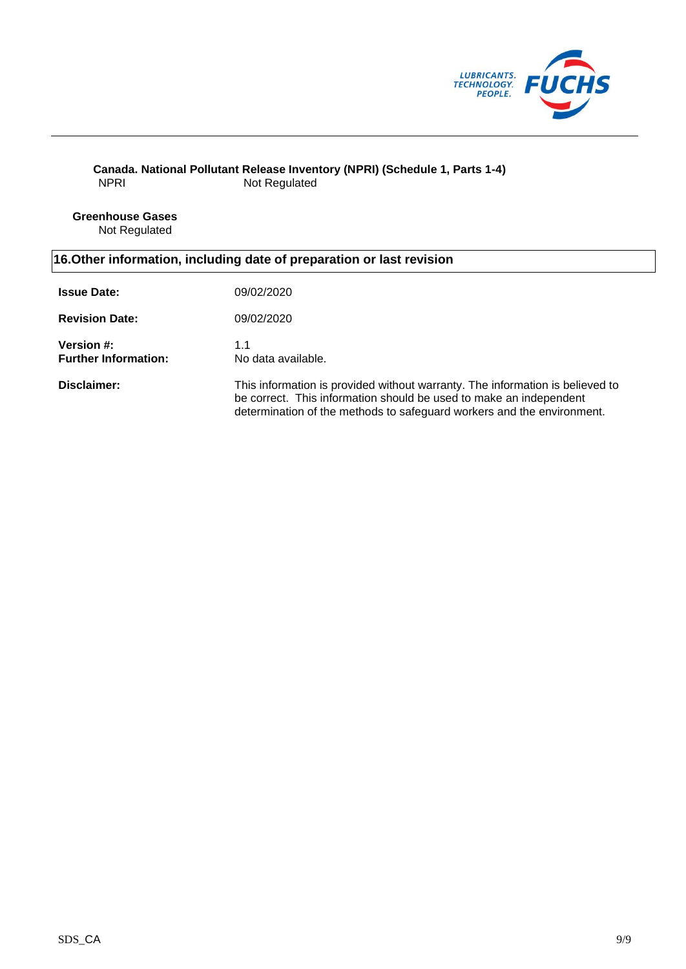

## **Canada. National Pollutant Release Inventory (NPRI) (Schedule 1, Parts 1-4)** NPRI Not Regulated

**Greenhouse Gases** Not Regulated

# **16.Other information, including date of preparation or last revision**

| <b>Issue Date:</b>                               | 09/02/2020                                                                                                                                                                                                                    |
|--------------------------------------------------|-------------------------------------------------------------------------------------------------------------------------------------------------------------------------------------------------------------------------------|
| <b>Revision Date:</b>                            | 09/02/2020                                                                                                                                                                                                                    |
| <b>Version #:</b><br><b>Further Information:</b> | 1.1<br>No data available.                                                                                                                                                                                                     |
| Disclaimer:                                      | This information is provided without warranty. The information is believed to<br>be correct. This information should be used to make an independent<br>determination of the methods to safeguard workers and the environment. |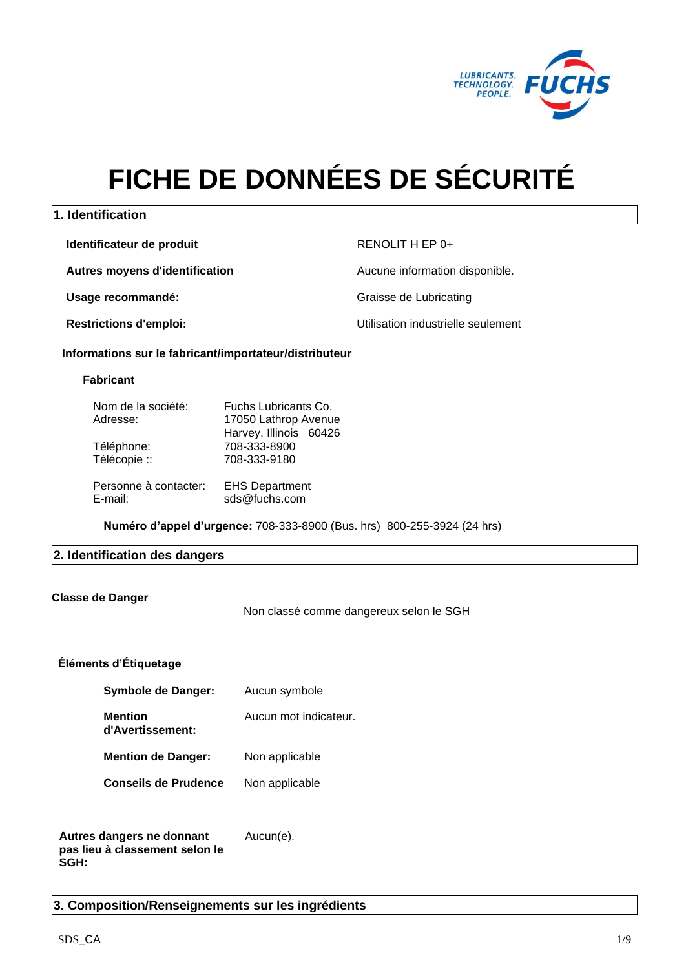

# **FICHE DE DONNÉES DE SÉCURITÉ**

# **1. Identification**

**Identificateur de produit** RENOLIT H EP 0+

**Autres moyens d'identification Aucune information disponible.** 

**Usage recommandé:** Communication of the Graisse de Lubricating

**Restrictions d'emploi:** Utilisation industrielle seulement

## **Informations sur le fabricant/importateur/distributeur**

## **Fabricant**

| Nom de la société:    | Fuchs Lubricants Co.   |  |
|-----------------------|------------------------|--|
| Adresse:              | 17050 Lathrop Avenue   |  |
|                       | Harvey, Illinois 60426 |  |
| Téléphone:            | 708-333-8900           |  |
| Télécopie ::          | 708-333-9180           |  |
|                       |                        |  |
| Personne à contacter: | <b>EHS Department</b>  |  |
| E-mail:               | sds@fuchs.com          |  |

**Numéro d'appel d'urgence:** 708-333-8900 (Bus. hrs) 800-255-3924 (24 hrs)

## **2. Identification des dangers**

## **Classe de Danger**

Non classé comme dangereux selon le SGH

# **Éléments d'Étiquetage**

| Symbole de Danger:                 | Aucun symbole         |
|------------------------------------|-----------------------|
| <b>Mention</b><br>d'Avertissement: | Aucun mot indicateur. |
| <b>Mention de Danger:</b>          | Non applicable        |
| <b>Conseils de Prudence</b>        | Non applicable        |

#### **Autres dangers ne donnant pas lieu à classement selon le SGH:** Aucun(e).

**3. Composition/Renseignements sur les ingrédients**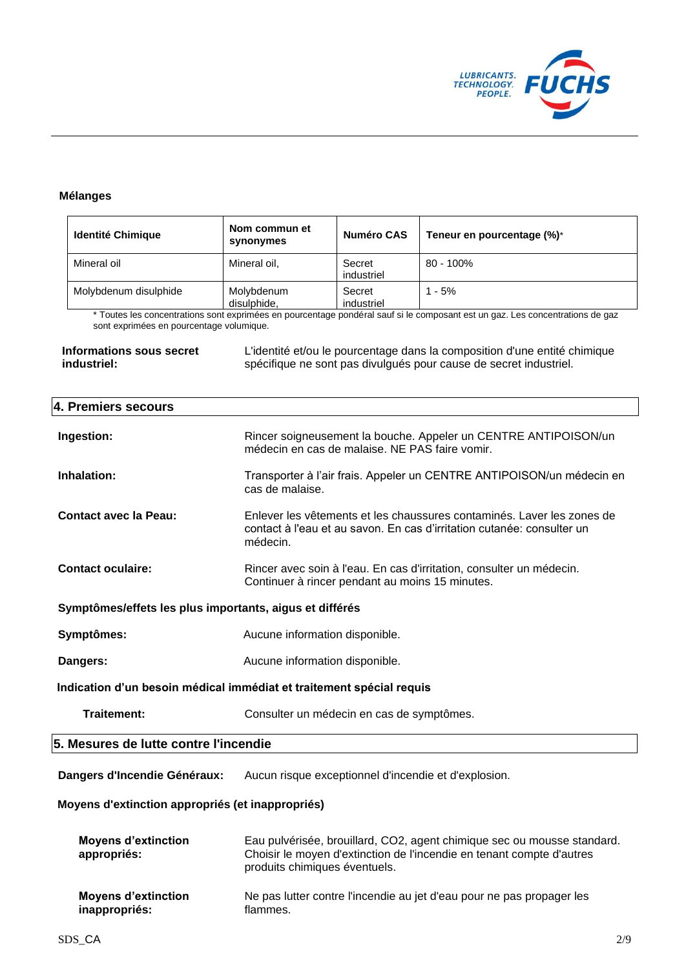

# **Mélanges**

| <b>Identité Chimique</b> | Nom commun et<br>synonymes | Numéro CAS           | Teneur en pourcentage (%)* |
|--------------------------|----------------------------|----------------------|----------------------------|
| Mineral oil              | Mineral oil,               | Secret<br>industriel | $80 - 100\%$               |
| Molybdenum disulphide    | Molybdenum<br>disulphide.  | Secret<br>industriel | $1 - 5%$                   |

Toutes les concentrations sont exprimées en pourcentage pondéral sauf si le composant est un gaz. Les concentrations de gaz sont exprimées en pourcentage volumique.

**Informations sous secret industriel:**

L'identité et/ou le pourcentage dans la composition d'une entité chimique spécifique ne sont pas divulgués pour cause de secret industriel.

| 4. Premiers secours                                                  |                                                                                                                                                              |  |  |
|----------------------------------------------------------------------|--------------------------------------------------------------------------------------------------------------------------------------------------------------|--|--|
| Ingestion:                                                           | Rincer soigneusement la bouche. Appeler un CENTRE ANTIPOISON/un<br>médecin en cas de malaise. NE PAS faire vomir.                                            |  |  |
| Inhalation:                                                          | Transporter à l'air frais. Appeler un CENTRE ANTIPOISON/un médecin en<br>cas de malaise.                                                                     |  |  |
| Contact avec la Peau:                                                | Enlever les vêtements et les chaussures contaminés. Laver les zones de<br>contact à l'eau et au savon. En cas d'irritation cutanée: consulter un<br>médecin. |  |  |
| <b>Contact oculaire:</b>                                             | Rincer avec soin à l'eau. En cas d'irritation, consulter un médecin.<br>Continuer à rincer pendant au moins 15 minutes.                                      |  |  |
| Symptômes/effets les plus importants, aigus et différés              |                                                                                                                                                              |  |  |
| Symptômes:                                                           | Aucune information disponible.                                                                                                                               |  |  |
| Dangers:                                                             | Aucune information disponible.                                                                                                                               |  |  |
| Indication d'un besoin médical immédiat et traitement spécial requis |                                                                                                                                                              |  |  |
| Traitement:                                                          | Consulter un médecin en cas de symptômes.                                                                                                                    |  |  |
| 5. Mesures de lutte contre l'incendie                                |                                                                                                                                                              |  |  |
|                                                                      |                                                                                                                                                              |  |  |

**Dangers d'Incendie Généraux:** Aucun risque exceptionnel d'incendie et d'explosion.

## **Moyens d'extinction appropriés (et inappropriés)**

| <b>Moyens d'extinction</b><br>appropriés: | Eau pulvérisée, brouillard, CO2, agent chimique sec ou mousse standard.<br>Choisir le moyen d'extinction de l'incendie en tenant compte d'autres<br>produits chimiques éventuels. |
|-------------------------------------------|-----------------------------------------------------------------------------------------------------------------------------------------------------------------------------------|
| <b>Moyens d'extinction</b>                | Ne pas lutter contre l'incendie au jet d'eau pour ne pas propager les                                                                                                             |
| inappropriés:                             | flammes.                                                                                                                                                                          |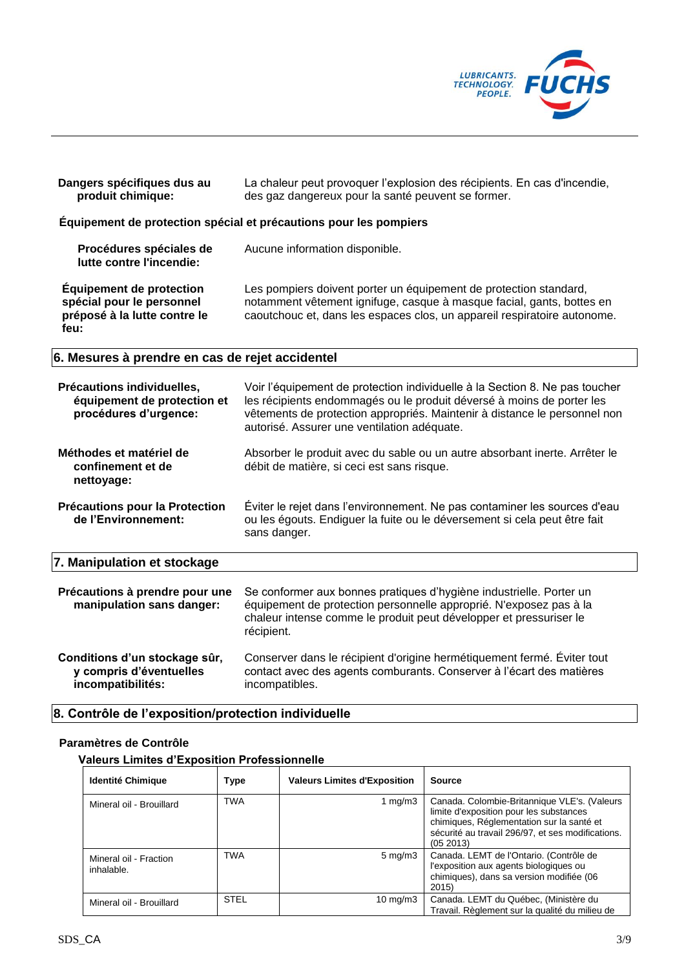

| Dangers spécifiques dus au<br>produit chimique:                                                      | La chaleur peut provoquer l'explosion des récipients. En cas d'incendie,<br>des gaz dangereux pour la santé peuvent se former.                                                                                                                                                   |  |
|------------------------------------------------------------------------------------------------------|----------------------------------------------------------------------------------------------------------------------------------------------------------------------------------------------------------------------------------------------------------------------------------|--|
|                                                                                                      | Équipement de protection spécial et précautions pour les pompiers                                                                                                                                                                                                                |  |
| Procédures spéciales de<br>lutte contre l'incendie:                                                  | Aucune information disponible.                                                                                                                                                                                                                                                   |  |
| <b>Équipement de protection</b><br>spécial pour le personnel<br>préposé à la lutte contre le<br>feu: | Les pompiers doivent porter un équipement de protection standard,<br>notamment vêtement ignifuge, casque à masque facial, gants, bottes en<br>caoutchouc et, dans les espaces clos, un appareil respiratoire autonome.                                                           |  |
| 6. Mesures à prendre en cas de rejet accidentel                                                      |                                                                                                                                                                                                                                                                                  |  |
| Précautions individuelles,<br>équipement de protection et<br>procédures d'urgence:                   | Voir l'équipement de protection individuelle à la Section 8. Ne pas toucher<br>les récipients endommagés ou le produit déversé à moins de porter les<br>vêtements de protection appropriés. Maintenir à distance le personnel non<br>autorisé. Assurer une ventilation adéquate. |  |
| Méthodes et matériel de<br>confinement et de<br>nettoyage:                                           | Absorber le produit avec du sable ou un autre absorbant inerte. Arrêter le<br>débit de matière, si ceci est sans risque.                                                                                                                                                         |  |
| Précautions pour la Protection<br>de l'Environnement:                                                | Éviter le rejet dans l'environnement. Ne pas contaminer les sources d'eau<br>ou les égouts. Endiguer la fuite ou le déversement si cela peut être fait<br>sans danger.                                                                                                           |  |
| 7. Manipulation et stockage                                                                          |                                                                                                                                                                                                                                                                                  |  |
| Précautions à prendre pour une<br>manipulation sans danger:                                          | Se conformer aux bonnes pratiques d'hygiène industrielle. Porter un<br>équipement de protection personnelle approprié. N'exposez pas à la<br>chaleur intense comme le produit peut développer et pressuriser le<br>récipient.                                                    |  |
| Conditions d'un stockage sûr,<br>y compris d'éventuelles<br>incompatibilités:                        | Conserver dans le récipient d'origine hermétiquement fermé. Éviter tout<br>contact avec des agents comburants. Conserver à l'écart des matières<br>incompatibles.                                                                                                                |  |

# **8. Contrôle de l'exposition/protection individuelle**

## **Paramètres de Contrôle**

# **Valeurs Limites d'Exposition Professionnelle**

| Identité Chimique                    | Type        | <b>Valeurs Limites d'Exposition</b> | <b>Source</b>                                                                                                                                                                                         |
|--------------------------------------|-------------|-------------------------------------|-------------------------------------------------------------------------------------------------------------------------------------------------------------------------------------------------------|
| Mineral oil - Brouillard             | <b>TWA</b>  | 1 mg/m $3$                          | Canada. Colombie-Britannique VLE's. (Valeurs<br>limite d'exposition pour les substances<br>chimiques, Réglementation sur la santé et<br>sécurité au travail 296/97, et ses modifications.<br>(052013) |
| Mineral oil - Fraction<br>inhalable. | <b>TWA</b>  | $5 \text{ mg/m}$ 3                  | Canada. LEMT de l'Ontario. (Contrôle de<br>l'exposition aux agents biologiques ou<br>chimiques), dans sa version modifiée (06<br>2015)                                                                |
| Mineral oil - Brouillard             | <b>STEL</b> | $10 \text{ mg/m}$                   | Canada. LEMT du Québec, (Ministère du<br>Travail. Règlement sur la qualité du milieu de                                                                                                               |

 $\overline{\phantom{a}}$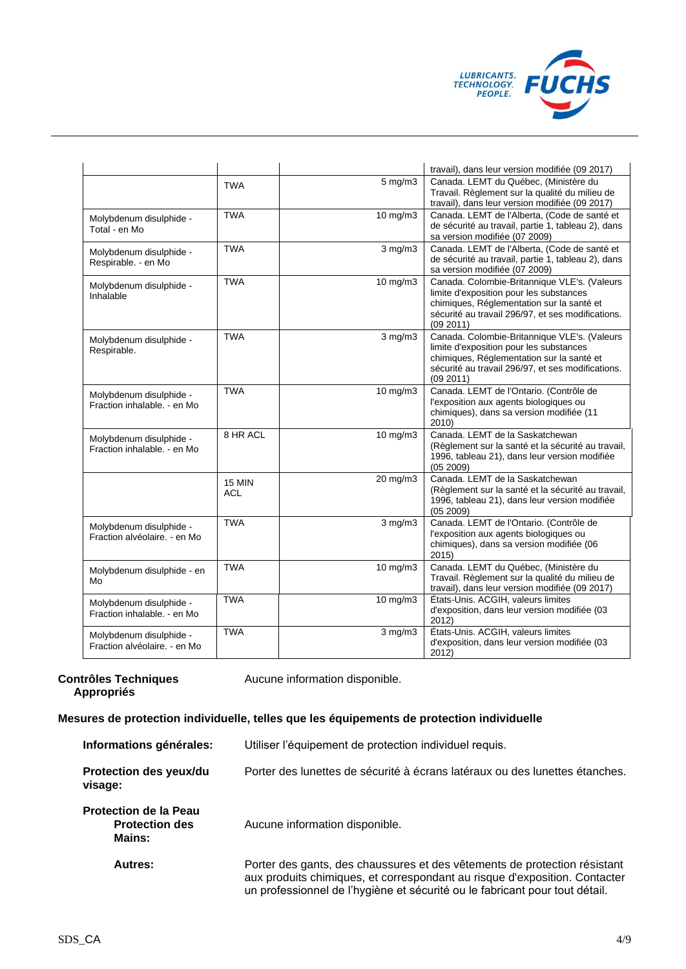

|                                                         |                             |              | travail), dans leur version modifiée (09 2017)                                                                                                                                                         |
|---------------------------------------------------------|-----------------------------|--------------|--------------------------------------------------------------------------------------------------------------------------------------------------------------------------------------------------------|
|                                                         | <b>TWA</b>                  | $5$ mg/m $3$ | Canada. LEMT du Québec, (Ministère du<br>Travail. Règlement sur la qualité du milieu de<br>travail), dans leur version modifiée (09 2017)                                                              |
| Molybdenum disulphide -<br>Total - en Mo                | <b>TWA</b>                  | 10 mg/m3     | Canada. LEMT de l'Alberta, (Code de santé et<br>de sécurité au travail, partie 1, tableau 2), dans<br>sa version modifiée (07 2009)                                                                    |
| Molybdenum disulphide -<br>Respirable. - en Mo          | <b>TWA</b>                  | $3$ mg/m $3$ | Canada. LEMT de l'Alberta, (Code de santé et<br>de sécurité au travail, partie 1, tableau 2), dans<br>sa version modifiée (07 2009)                                                                    |
| Molybdenum disulphide -<br>Inhalable                    | <b>TWA</b>                  | 10 mg/m3     | Canada. Colombie-Britannique VLE's. (Valeurs<br>limite d'exposition pour les substances<br>chimiques, Réglementation sur la santé et<br>sécurité au travail 296/97, et ses modifications.<br>(09 2011) |
| Molybdenum disulphide -<br>Respirable.                  | <b>TWA</b>                  | $3$ mg/m $3$ | Canada. Colombie-Britannique VLE's. (Valeurs<br>limite d'exposition pour les substances<br>chimiques, Réglementation sur la santé et<br>sécurité au travail 296/97, et ses modifications.<br>(09 2011) |
| Molybdenum disulphide -<br>Fraction inhalable. - en Mo  | <b>TWA</b>                  | 10 mg/m3     | Canada. LEMT de l'Ontario. (Contrôle de<br>l'exposition aux agents biologiques ou<br>chimiques), dans sa version modifiée (11<br>2010                                                                  |
| Molybdenum disulphide -<br>Fraction inhalable. - en Mo  | 8 HR ACL                    | 10 mg/m3     | Canada, LEMT de la Saskatchewan<br>(Règlement sur la santé et la sécurité au travail,<br>1996, tableau 21), dans leur version modifiée<br>(05 2009)                                                    |
|                                                         | <b>15 MIN</b><br><b>ACL</b> | 20 mg/m3     | Canada. LEMT de la Saskatchewan<br>(Règlement sur la santé et la sécurité au travail,<br>1996, tableau 21), dans leur version modifiée<br>(05 2009)                                                    |
| Molybdenum disulphide -<br>Fraction alvéolaire. - en Mo | <b>TWA</b>                  | $3$ mg/m $3$ | Canada. LEMT de l'Ontario. (Contrôle de<br>l'exposition aux agents biologiques ou<br>chimiques), dans sa version modifiée (06<br>2015)                                                                 |
| Molybdenum disulphide - en<br>Mo                        | <b>TWA</b>                  | 10 mg/m3     | Canada. LEMT du Québec, (Ministère du<br>Travail. Règlement sur la qualité du milieu de<br>travail), dans leur version modifiée (09 2017)                                                              |
| Molybdenum disulphide -<br>Fraction inhalable. - en Mo  | <b>TWA</b>                  | 10 mg/m3     | États-Unis. ACGIH, valeurs limites<br>d'exposition, dans leur version modifiée (03<br>2012)                                                                                                            |
| Molybdenum disulphide -<br>Fraction alvéolaire. - en Mo | <b>TWA</b>                  | $3$ mg/m $3$ | États-Unis. ACGIH, valeurs limites<br>d'exposition, dans leur version modifiée (03<br>2012)                                                                                                            |

# **Contrôles Techniques Appropriés**

Aucune information disponible.

# **Mesures de protection individuelle, telles que les équipements de protection individuelle**

| Informations générales:                                         | Utiliser l'équipement de protection individuel requis.                                                                                                                                                                                 |
|-----------------------------------------------------------------|----------------------------------------------------------------------------------------------------------------------------------------------------------------------------------------------------------------------------------------|
| Protection des yeux/du<br>visage:                               | Porter des lunettes de sécurité à écrans latéraux ou des lunettes étanches.                                                                                                                                                            |
| <b>Protection de la Peau</b><br><b>Protection des</b><br>Mains: | Aucune information disponible.                                                                                                                                                                                                         |
| <b>Autres:</b>                                                  | Porter des gants, des chaussures et des vêtements de protection résistant<br>aux produits chimiques, et correspondant au risque d'exposition. Contacter<br>un professionnel de l'hygiène et sécurité ou le fabricant pour tout détail. |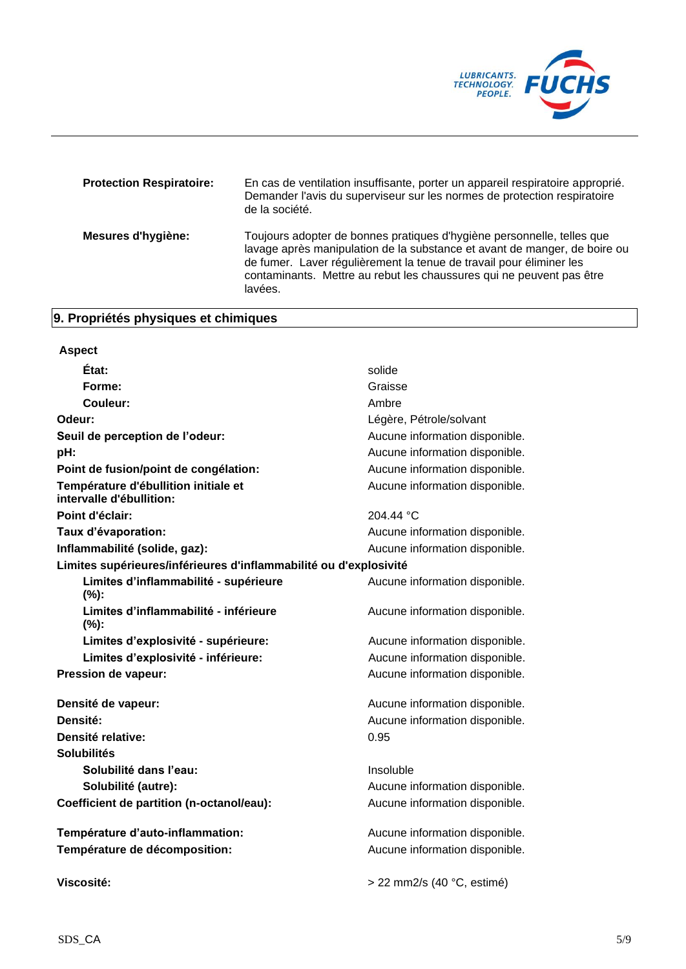

| <b>Protection Respiratoire:</b> | En cas de ventilation insuffisante, porter un appareil respiratoire approprié.<br>Demander l'avis du superviseur sur les normes de protection respiratoire<br>de la société.                                                                                                                                  |
|---------------------------------|---------------------------------------------------------------------------------------------------------------------------------------------------------------------------------------------------------------------------------------------------------------------------------------------------------------|
| Mesures d'hygiène:              | Toujours adopter de bonnes pratiques d'hygiène personnelle, telles que<br>lavage après manipulation de la substance et avant de manger, de boire ou<br>de fumer. Laver régulièrement la tenue de travail pour éliminer les<br>contaminants. Mettre au rebut les chaussures qui ne peuvent pas être<br>lavées. |

# **9. Propriétés physiques et chimiques**

| <b>Aspect</b>                                                     |                                |
|-------------------------------------------------------------------|--------------------------------|
| État:                                                             | solide                         |
| Forme:                                                            | Graisse                        |
| Couleur:                                                          | Ambre                          |
| Odeur:                                                            | Légère, Pétrole/solvant        |
| Seuil de perception de l'odeur:                                   | Aucune information disponible. |
| pH:                                                               | Aucune information disponible. |
| Point de fusion/point de congélation:                             | Aucune information disponible. |
| Température d'ébullition initiale et<br>intervalle d'ébullition:  | Aucune information disponible. |
| Point d'éclair:                                                   | 204.44 °C                      |
| Taux d'évaporation:                                               | Aucune information disponible. |
| Inflammabilité (solide, gaz):                                     | Aucune information disponible. |
| Limites supérieures/inférieures d'inflammabilité ou d'explosivité |                                |
| Limites d'inflammabilité - supérieure<br>(%):                     | Aucune information disponible. |
| Limites d'inflammabilité - inférieure<br>(%):                     | Aucune information disponible. |
| Limites d'explosivité - supérieure:                               | Aucune information disponible. |
| Limites d'explosivité - inférieure:                               | Aucune information disponible. |
| Pression de vapeur:                                               | Aucune information disponible. |
| Densité de vapeur:                                                | Aucune information disponible. |
| Densité:                                                          | Aucune information disponible. |
| Densité relative:                                                 | 0.95                           |
| <b>Solubilités</b>                                                |                                |
| Solubilité dans l'eau:                                            | Insoluble                      |
| Solubilité (autre):                                               | Aucune information disponible. |
| Coefficient de partition (n-octanol/eau):                         | Aucune information disponible. |
| Température d'auto-inflammation:                                  | Aucune information disponible. |
| Température de décomposition:                                     | Aucune information disponible. |
| Viscosité:                                                        | > 22 mm2/s (40 °C, estimé)     |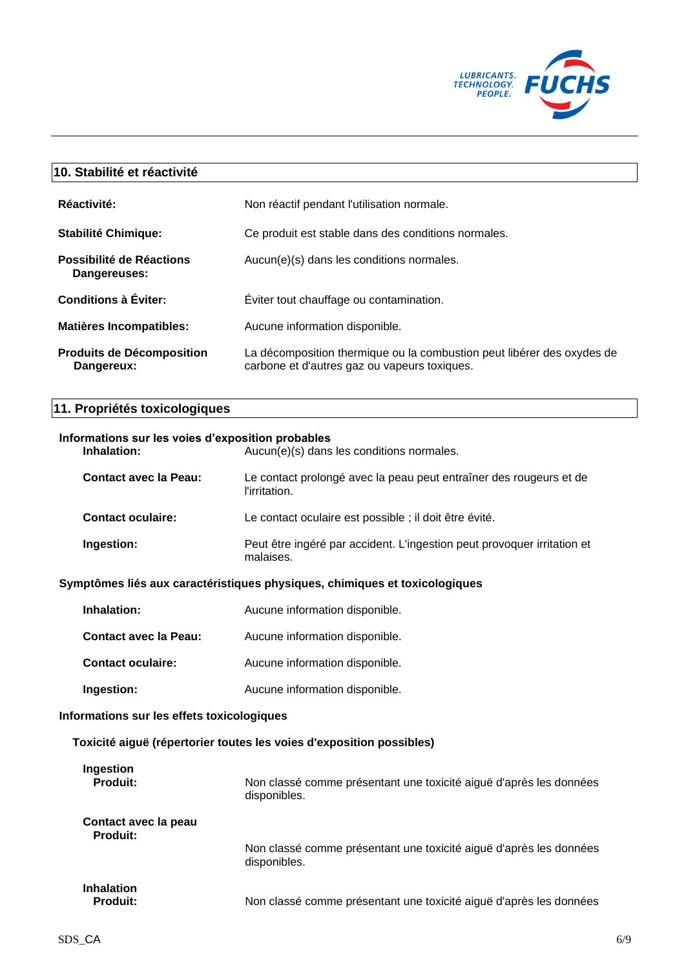

# **10. Stabilité et réactivité**

| Réactivité:                                    | Non réactif pendant l'utilisation normale.                                                                             |
|------------------------------------------------|------------------------------------------------------------------------------------------------------------------------|
| <b>Stabilité Chimique:</b>                     | Ce produit est stable dans des conditions normales.                                                                    |
| Possibilité de Réactions<br>Dangereuses:       | Aucun(e)(s) dans les conditions normales.                                                                              |
| <b>Conditions à Éviter:</b>                    | Eviter tout chauffage ou contamination.                                                                                |
| <b>Matières Incompatibles:</b>                 | Aucune information disponible.                                                                                         |
| <b>Produits de Décomposition</b><br>Dangereux: | La décomposition thermique ou la combustion peut libérer des oxydes de<br>carbone et d'autres gaz ou vapeurs toxiques. |

# **11. Propriétés toxicologiques**

| Inhalation:                  | Informations sur les voies d'exposition probables<br>Aucun(e)(s) dans les conditions normales. |  |
|------------------------------|------------------------------------------------------------------------------------------------|--|
| <b>Contact avec la Peau:</b> | Le contact prolongé avec la peau peut entraîner des rougeurs et de<br>l'irritation.            |  |
| <b>Contact oculaire:</b>     | Le contact oculaire est possible ; il doit être évité.                                         |  |
| Ingestion:                   | Peut être ingéré par accident. L'ingestion peut provoquer irritation et<br>malaises.           |  |

# **Symptômes liés aux caractéristiques physiques, chimiques et toxicologiques**

| Inhalation:                  | Aucune information disponible. |
|------------------------------|--------------------------------|
| <b>Contact avec la Peau:</b> | Aucune information disponible. |
| <b>Contact oculaire:</b>     | Aucune information disponible. |
| Ingestion:                   | Aucune information disponible. |

# **Informations sur les effets toxicologiques**

# **Toxicité aiguë (répertorier toutes les voies d'exposition possibles)**

| Ingestion                            | Non classé comme présentant une toxicité aiguë d'après les données |
|--------------------------------------|--------------------------------------------------------------------|
| <b>Produit:</b>                      | disponibles.                                                       |
| Contact avec la peau                 | Non classé comme présentant une toxicité aiguë d'après les données |
| <b>Produit:</b>                      | disponibles.                                                       |
| <b>Inhalation</b><br><b>Produit:</b> | Non classé comme présentant une toxicité aiguë d'après les données |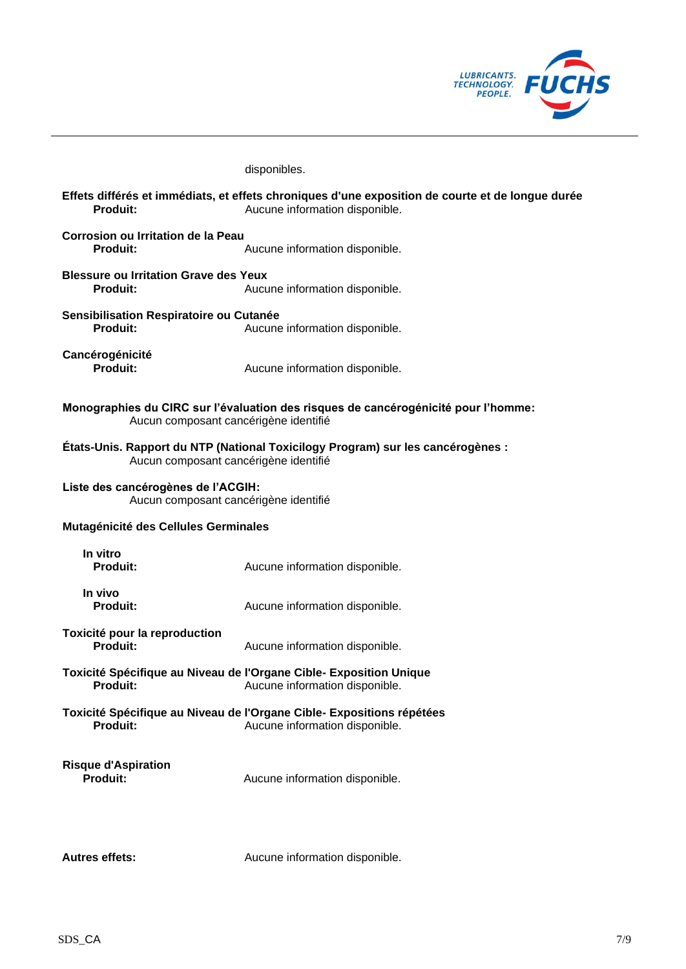

|                                                                             | disponibles.                                                                                                                       |
|-----------------------------------------------------------------------------|------------------------------------------------------------------------------------------------------------------------------------|
| Produit:                                                                    | Effets différés et immédiats, et effets chroniques d'une exposition de courte et de longue durée<br>Aucune information disponible. |
| <b>Corrosion ou Irritation de la Peau</b><br>Produit:                       | Aucune information disponible.                                                                                                     |
| <b>Blessure ou Irritation Grave des Yeux</b><br>Produit:                    | Aucune information disponible.                                                                                                     |
| Sensibilisation Respiratoire ou Cutanée<br><b>Produit:</b>                  | Aucune information disponible.                                                                                                     |
| Cancérogénicité<br><b>Produit:</b>                                          | Aucune information disponible.                                                                                                     |
| Aucun composant cancérigène identifié                                       | Monographies du CIRC sur l'évaluation des risques de cancérogénicité pour l'homme:                                                 |
| Aucun composant cancérigène identifié                                       | États-Unis. Rapport du NTP (National Toxicilogy Program) sur les cancérogènes :                                                    |
| Liste des cancérogènes de l'ACGIH:<br>Aucun composant cancérigène identifié |                                                                                                                                    |
| Mutagénicité des Cellules Germinales                                        |                                                                                                                                    |
| In vitro<br>Produit:                                                        | Aucune information disponible.                                                                                                     |
| In vivo<br>Produit:                                                         | Aucune information disponible.                                                                                                     |
| Toxicité pour la reproduction<br>Produit:                                   | Aucune information disponible.                                                                                                     |
| <b>Produit:</b>                                                             | Toxicité Spécifique au Niveau de l'Organe Cible- Exposition Unique<br>Aucune information disponible.                               |
| <b>Produit:</b>                                                             | Toxicité Spécifique au Niveau de l'Organe Cible- Expositions répétées<br>Aucune information disponible.                            |
| <b>Risque d'Aspiration</b><br><b>Produit:</b>                               | Aucune information disponible.                                                                                                     |
|                                                                             |                                                                                                                                    |

Autres effets: Aucune information disponible.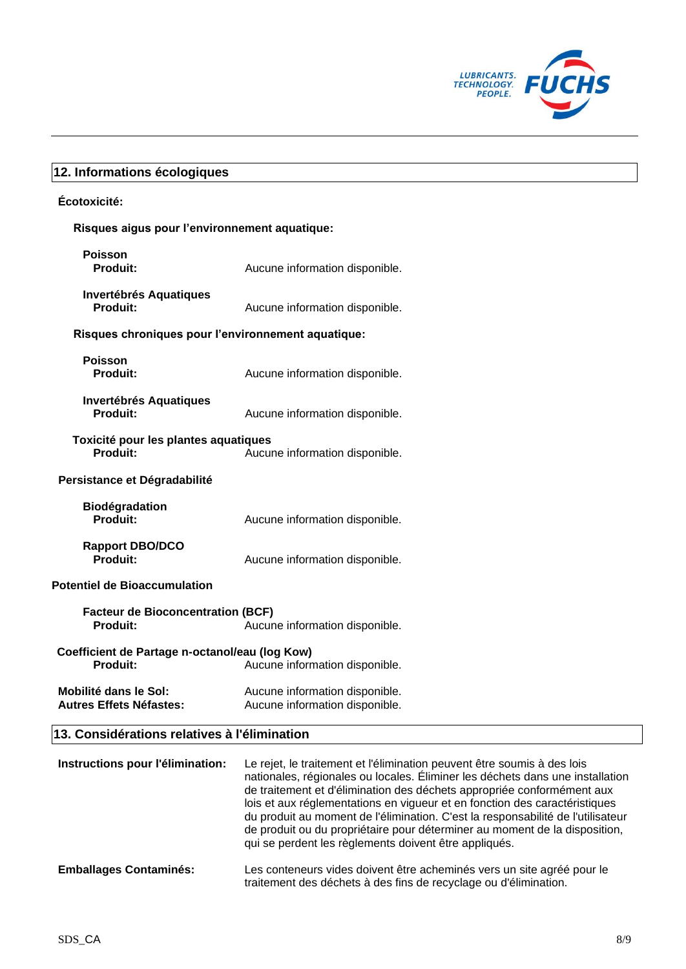

# **12. Informations écologiques**

# **Écotoxicité:**

# **Risques aigus pour l'environnement aquatique:**

| <b>Poisson</b><br><b>Produit:</b>                                 | Aucune information disponible.                                   |
|-------------------------------------------------------------------|------------------------------------------------------------------|
| <b>Invertébrés Aquatiques</b><br>Produit:                         | Aucune information disponible.                                   |
| Risques chroniques pour l'environnement aquatique:                |                                                                  |
| <b>Poisson</b><br><b>Produit:</b>                                 | Aucune information disponible.                                   |
| <b>Invertébrés Aquatiques</b><br>Produit:                         | Aucune information disponible.                                   |
| Toxicité pour les plantes aquatiques<br><b>Produit:</b>           | Aucune information disponible.                                   |
| Persistance et Dégradabilité                                      |                                                                  |
| <b>Biodégradation</b><br>Produit:                                 | Aucune information disponible.                                   |
| <b>Rapport DBO/DCO</b><br>Produit:                                | Aucune information disponible.                                   |
| <b>Potentiel de Bioaccumulation</b>                               |                                                                  |
| <b>Facteur de Bioconcentration (BCF)</b><br>Produit:              | Aucune information disponible.                                   |
| Coefficient de Partage n-octanol/eau (log Kow)<br><b>Produit:</b> | Aucune information disponible.                                   |
| <b>Mobilité dans le Sol:</b><br><b>Autres Effets Néfastes:</b>    | Aucune information disponible.<br>Aucune information disponible. |

# **13. Considérations relatives à l'élimination**

| Instructions pour l'élimination: | Le rejet, le traitement et l'élimination peuvent être soumis à des lois<br>nationales, régionales ou locales. Éliminer les déchets dans une installation<br>de traitement et d'élimination des déchets appropriée conformément aux<br>lois et aux réglementations en vigueur et en fonction des caractéristiques<br>du produit au moment de l'élimination. C'est la responsabilité de l'utilisateur<br>de produit ou du propriétaire pour déterminer au moment de la disposition,<br>qui se perdent les règlements doivent être appliqués. |
|----------------------------------|--------------------------------------------------------------------------------------------------------------------------------------------------------------------------------------------------------------------------------------------------------------------------------------------------------------------------------------------------------------------------------------------------------------------------------------------------------------------------------------------------------------------------------------------|
| <b>Emballages Contaminés:</b>    | Les conteneurs vides doivent être acheminés vers un site agréé pour le<br>traitement des déchets à des fins de recyclage ou d'élimination.                                                                                                                                                                                                                                                                                                                                                                                                 |